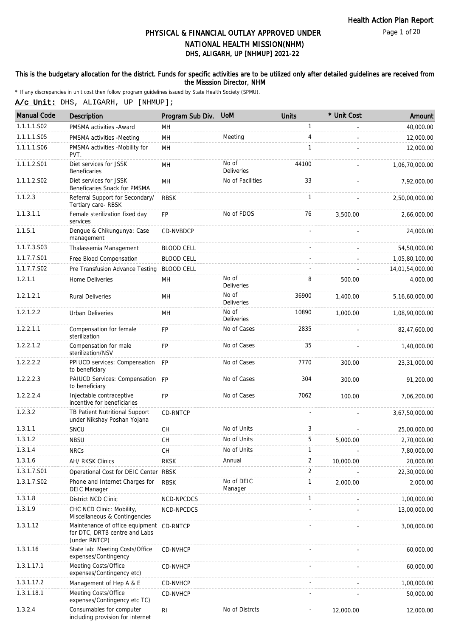Page 1 of 20

# DHS, ALIGARH, UP [NHMUP] 2021-22 PHYSICAL & FINANCIAL OUTLAY APPROVED UNDER NATIONAL HEALTH MISSION(NHM)

### This is the budgetary allocation for the district. Funds for specific activities are to be utilized only after detailed guidelines are received from the Misssion Director, NHM

|  | A/c Unit: DHS, ALIGARH, UP [NHMUP]; |  |
|--|-------------------------------------|--|
|  |                                     |  |

| <b>Manual Code</b> | Description                                                                                | Program Sub Div.  | <b>UoM</b>                 | <b>Units</b> | * Unit Cost | Amount          |
|--------------------|--------------------------------------------------------------------------------------------|-------------------|----------------------------|--------------|-------------|-----------------|
| 1.1.1.1.S02        | PMSMA activities - Award                                                                   | MН                |                            | 1            |             | 40,000.00       |
| 1.1.1.1.S05        | PMSMA activities -Meeting                                                                  | MH                | Meeting                    | 4            | ä,          | 12,000.00       |
| 1.1.1.1.S06        | PMSMA activities -Mobility for<br>PVT.                                                     | <b>MH</b>         |                            | 1            |             | 12,000.00       |
| 1.1.1.2.S01        | Diet services for JSSK<br>Beneficaries                                                     | MH                | No of<br><b>Deliveries</b> | 44100        |             | 1,06,70,000.00  |
| 1.1.1.2.S02        | Diet services for JSSK<br>Beneficaries Snack for PMSMA                                     | MH                | No of Facilities           | 33           |             | 7,92,000.00     |
| 1.1.2.3            | Referral Support for Secondary/<br>Tertiary care-RBSK                                      | <b>RBSK</b>       |                            | 1            |             | 2,50,00,000.00  |
| 1.1.3.1.1          | Female sterilization fixed day<br>services                                                 | <b>FP</b>         | No of FDOS                 | 76           | 3,500.00    | 2,66,000.00     |
| 1.1.5.1            | Dengue & Chikungunya: Case<br>management                                                   | CD-NVBDCP         |                            |              |             | 24,000.00       |
| 1.1.7.3.S03        | Thalassemia Management                                                                     | <b>BLOOD CELL</b> |                            |              |             | 54,50,000.00    |
| 1.1.7.7.S01        | Free Blood Compensation                                                                    | <b>BLOOD CELL</b> |                            |              |             | 1,05,80,100.00  |
| 1.1.7.7.S02        | Pre Transfusion Advance Testing                                                            | <b>BLOOD CELL</b> |                            |              |             | 14,01,54,000.00 |
| 1.2.1.1            | Home Deliveries                                                                            | MH                | No of<br><b>Deliveries</b> | 8            | 500.00      | 4,000.00        |
| 1.2.1.2.1          | <b>Rural Deliveries</b>                                                                    | MH                | No of<br><b>Deliveries</b> | 36900        | 1,400.00    | 5,16,60,000.00  |
| 1.2.1.2.2          | <b>Urban Deliveries</b>                                                                    | MН                | No of<br><b>Deliveries</b> | 10890        | 1.000.00    | 1,08,90,000.00  |
| 1.2.2.1.1          | Compensation for female<br>sterilization                                                   | <b>FP</b>         | No of Cases                | 2835         |             | 82,47,600.00    |
| 1.2.2.1.2          | Compensation for male<br>sterilization/NSV                                                 | <b>FP</b>         | No of Cases                | 35           |             | 1,40,000.00     |
| 1.2.2.2.2          | PPIUCD services: Compensation<br>to beneficiary                                            | <b>FP</b>         | No of Cases                | 7770         | 300.00      | 23,31,000.00    |
| 1.2.2.2.3          | PAIUCD Services: Compensation FP<br>to beneficiary                                         |                   | No of Cases                | 304          | 300.00      | 91,200.00       |
| 1.2.2.2.4          | Injectable contraceptive<br>incentive for beneficiaries                                    | <b>FP</b>         | No of Cases                | 7062         | 100.00      | 7,06,200.00     |
| 1.2.3.2            | TB Patient Nutritional Support<br>under Nikshay Poshan Yojana                              | <b>CD-RNTCP</b>   |                            |              |             | 3,67,50,000.00  |
| 1.3.1.1            | SNCU                                                                                       | <b>CH</b>         | No of Units                | 3            |             | 25,00,000.00    |
| 1.3.1.2            | <b>NBSU</b>                                                                                | <b>CH</b>         | No of Units                | 5            | 5,000.00    | 2,70,000.00     |
| 1.3.1.4            | <b>NRCs</b>                                                                                | <b>CH</b>         | No of Units                | 1            |             | 7,80,000.00     |
| 1.3.1.6            | <b>AH/ RKSK Clinics</b>                                                                    | <b>RKSK</b>       | Annual                     | 2            | 10,000.00   | 20,000.00       |
| 1.3.1.7.S01        | Operational Cost for DEIC Center                                                           | <b>RBSK</b>       |                            | 2            |             | 22,30,000.00    |
| 1.3.1.7.S02        | Phone and Internet Charges for<br>DEIC Manager                                             | <b>RBSK</b>       | No of DEIC<br>Manager      | $\mathbf{1}$ | 2,000.00    | 2,000.00        |
| 1.3.1.8            | District NCD Clinic                                                                        | NCD-NPCDCS        |                            | 1            |             | 1,00,000.00     |
| 1.3.1.9            | CHC NCD Clinic: Mobility,<br>Miscellaneous & Contingencies                                 | NCD-NPCDCS        |                            |              |             | 13,00,000.00    |
| 1.3.1.12           | Maintenance of office equipment CD-RNTCP<br>for DTC, DRTB centre and Labs<br>(under RNTCP) |                   |                            |              |             | 3,00,000.00     |
| 1.3.1.16           | State lab: Meeting Costs/Office<br>expenses/Contingency                                    | <b>CD-NVHCP</b>   |                            |              |             | 60,000.00       |
| 1.3.1.17.1         | Meeting Costs/Office<br>expenses/Contingency etc)                                          | <b>CD-NVHCP</b>   |                            |              |             | 60,000.00       |
| 1.3.1.17.2         | Management of Hep A & E                                                                    | CD-NVHCP          |                            |              |             | 1,00,000.00     |
| 1.3.1.18.1         | Meeting Costs/Office<br>expenses/Contingency etc TC)                                       | <b>CD-NVHCP</b>   |                            |              |             | 50,000.00       |
| 1.3.2.4            | Consumables for computer<br>including provision for internet                               | R <sub>l</sub>    | No of Distrcts             |              | 12,000.00   | 12,000.00       |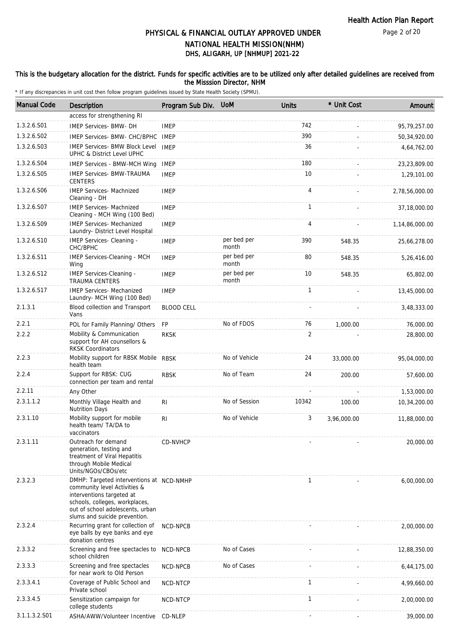#### This is the budgetary allocation for the district. Funds for specific activities are to be utilized only after detailed guidelines are received from the Misssion Director, NHM

| <b>Manual Code</b> | <b>Description</b>                                                                                                                                                                                           | Program Sub Div. UoM |                      | <b>Units</b> | * Unit Cost | Amount         |
|--------------------|--------------------------------------------------------------------------------------------------------------------------------------------------------------------------------------------------------------|----------------------|----------------------|--------------|-------------|----------------|
|                    | access for strengthening RI                                                                                                                                                                                  |                      |                      |              |             |                |
| 1.3.2.6.S01        | <b>IMEP Services- BMW- DH</b>                                                                                                                                                                                | <b>IMEP</b>          |                      | 742          |             | 95,79,257.00   |
| 1.3.2.6.S02        | IMEP Services- BMW- CHC/BPHC                                                                                                                                                                                 | <b>IMEP</b>          |                      | 390          |             | 50,34,920.00   |
| 1.3.2.6.S03        | <b>IMEP Services- BMW Block Level</b><br>UPHC & District Level UPHC                                                                                                                                          | <b>IMEP</b>          |                      | 36           |             | 4,64,762.00    |
| 1.3.2.6.S04        | <b>IMEP Services - BMW-MCH Wing</b>                                                                                                                                                                          | <b>IMEP</b>          |                      | 180          |             | 23,23,809.00   |
| 1.3.2.6.S05        | <b>IMEP Services- BMW-TRAUMA</b><br><b>CENTERS</b>                                                                                                                                                           | <b>IMEP</b>          |                      | 10           |             | 1,29,101.00    |
| 1.3.2.6.S06        | <b>IMEP Services- Machnized</b><br>Cleaning - DH                                                                                                                                                             | <b>IMEP</b>          |                      | 4            |             | 2,78,56,000.00 |
| 1.3.2.6.S07        | <b>IMEP Services- Machnized</b><br>Cleaning - MCH Wing (100 Bed)                                                                                                                                             | <b>IMEP</b>          |                      | 1            |             | 37,18,000.00   |
| 1.3.2.6.S09        | <b>IMEP Services- Mechanized</b><br>Laundry- District Level Hospital                                                                                                                                         | <b>IMEP</b>          |                      | 4            |             | 1,14,86,000.00 |
| 1.3.2.6.S10        | IMEP Services- Cleaning -<br>CHC/BPHC                                                                                                                                                                        | <b>IMEP</b>          | per bed per<br>month | 390          | 548.35      | 25,66,278.00   |
| 1.3.2.6.S11        | IMEP Services-Cleaning - MCH<br>Wing                                                                                                                                                                         | <b>IMEP</b>          | per bed per<br>month | 80           | 548.35      | 5,26,416.00    |
| 1.3.2.6.S12        | IMEP Services-Cleaning -<br><b>TRAUMA CENTERS</b>                                                                                                                                                            | <b>IMEP</b>          | per bed per<br>month | 10           | 548.35      | 65,802.00      |
| 1.3.2.6.S17        | <b>IMEP Services- Mechanized</b><br>Laundry- MCH Wing (100 Bed)                                                                                                                                              | <b>IMEP</b>          |                      | $\mathbf{1}$ |             | 13,45,000.00   |
| 2.1.3.1            | Blood collection and Transport<br>Vans                                                                                                                                                                       | <b>BLOOD CELL</b>    |                      |              |             | 3,48,333.00    |
| 2.2.1              | POL for Family Planning/ Others                                                                                                                                                                              | FP                   | No of FDOS           | 76           | 1,000.00    | 76,000.00      |
| 2.2.2              | Mobility & Communication<br>support for AH counsellors &<br><b>RKSK Coordinators</b>                                                                                                                         | <b>RKSK</b>          |                      | 2            |             | 28,800.00      |
| 2.2.3              | Mobility support for RBSK Mobile RBSK<br>health team                                                                                                                                                         |                      | No of Vehicle        | 24           | 33,000.00   | 95,04,000.00   |
| 2.2.4              | Support for RBSK: CUG<br>connection per team and rental                                                                                                                                                      | <b>RBSK</b>          | No of Team           | 24           | 200.00      | 57,600.00      |
| 2.2.11             | Any Other                                                                                                                                                                                                    |                      |                      |              |             | 1,53,000.00    |
| 2.3.1.1.2          | Monthly Village Health and<br><b>Nutrition Days</b>                                                                                                                                                          | R <sub>l</sub>       | No of Session        | 10342        | 100.00      | 10,34,200.00   |
| 2.3.1.10           | Mobility support for mobile<br>health team/ TA/DA to<br>vaccinators                                                                                                                                          | R <sub>l</sub>       | No of Vehicle        | 3            | 3,96,000.00 | 11,88,000.00   |
| 2.3.1.11           | Outreach for demand<br>generation, testing and<br>treatment of Viral Hepatitis<br>through Mobile Medical<br>Units/NGOs/CBOs/etc                                                                              | CD-NVHCP             |                      |              |             | 20,000.00      |
| 2.3.2.3            | DMHP: Targeted interventions at NCD-NMHP<br>community level Activities &<br>interventions targeted at<br>schools, colleges, workplaces,<br>out of school adolescents, urban<br>slums and suicide prevention. |                      |                      | $\mathbf{1}$ |             | 6,00,000.00    |
| 2.3.2.4            | Recurring grant for collection of<br>eye balls by eye banks and eye<br>donation centres                                                                                                                      | NCD-NPCB             |                      |              |             | 2,00,000.00    |
| 2.3.3.2            | Screening and free spectacles to<br>school children                                                                                                                                                          | NCD-NPCB             | No of Cases          |              |             | 12,88,350.00   |
| 2.3.3.3            | Screening and free spectacles<br>for near work to Old Person                                                                                                                                                 | NCD-NPCB             | No of Cases          |              |             | 6,44,175.00    |
| 2.3.3.4.1          | Coverage of Public School and<br>Private school                                                                                                                                                              | NCD-NTCP             |                      | $\mathbf{1}$ |             | 4,99,660.00    |
| 2.3.3.4.5          | Sensitization campaign for<br>college students                                                                                                                                                               | NCD-NTCP             |                      | $\mathbf{1}$ |             | 2,00,000.00    |
| 3.1.1.3.2.S01      | ASHA/AWW/Volunteer Incentive                                                                                                                                                                                 | CD-NLEP              |                      |              |             | 39,000.00      |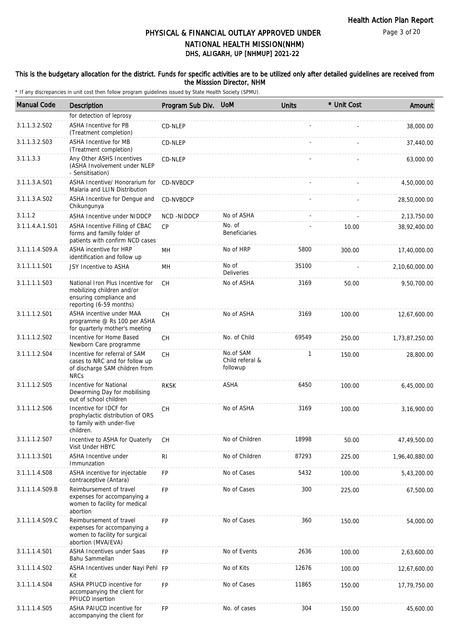#### This is the budgetary allocation for the district. Funds for specific activities are to be utilized only after detailed guidelines are received from the Misssion Director, NHM

| <b>Manual Code</b> | Description                                                                                                          | Program Sub Div. | <b>UoM</b>                               | <b>Units</b> | * Unit Cost | Amount         |
|--------------------|----------------------------------------------------------------------------------------------------------------------|------------------|------------------------------------------|--------------|-------------|----------------|
|                    | for detection of leprosy                                                                                             |                  |                                          |              |             |                |
| 3.1.1.3.2.S02      | ASHA Incentive for PB<br>(Treatment completion)                                                                      | CD-NLEP          |                                          |              |             | 38,000.00      |
| 3.1.1.3.2.S03      | <b>ASHA Incentive for MB</b><br>(Treatment completion)                                                               | CD-NLEP          |                                          |              |             | 37,440.00      |
| 3.1.1.3.3          | Any Other ASHS Incentives<br>(ASHA Involvement under NLEP<br>- Sensitisation)                                        | CD-NLEP          |                                          |              |             | 63,000.00      |
| 3.1.1.3.A.S01      | ASHA Incentive/ Honorarium for<br>Malaria and LLIN Distribution                                                      | CD-NVBDCP        |                                          |              |             | 4,50,000.00    |
| 3.1.1.3.A.S02      | ASHA Incentive for Dengue and<br>Chikungunya                                                                         | CD-NVBDCP        |                                          |              |             | 28,50,000.00   |
| 3.1.1.2            | <b>ASHA Incentive under NIDDCP</b>                                                                                   | NCD-NIDDCP       | No of ASHA                               |              |             | 2,13,750.00    |
| 3.1.1.4.A.1.S01    | ASHA Incentive Filling of CBAC<br>forms and familly folder of<br>patients with confirm NCD cases                     | CP               | No. of<br><b>Beneficiaries</b>           |              | 10.00       | 38,92,400.00   |
| 3.1.1.1.4.S09.A    | ASHA incentive for HRP<br>identification and follow up                                                               | MН               | No of HRP                                | 5800         | 300.00      | 17,40,000.00   |
| 3.1.1.1.1.S01      | JSY Incentive to ASHA                                                                                                | MН               | No of<br><b>Deliveries</b>               | 35100        |             | 2,10,60,000.00 |
| 3.1.1.1.1.S03      | National Iron Plus Incentive for<br>mobilizing children and/or<br>ensuring compliance and<br>reporting (6-59 months) | <b>CH</b>        | No of ASHA                               | 3169         | 50.00       | 9,50,700.00    |
| 3.1.1.1.2.S01      | ASHA incentive under MAA<br>programme @ Rs 100 per ASHA<br>for quarterly mother's meeting                            | <b>CH</b>        | No of ASHA                               | 3169         | 100.00      | 12,67,600.00   |
| 3.1.1.1.2.S02      | Incentive for Home Based<br>Newborn Care programme                                                                   | CH               | No. of Child                             | 69549        | 250.00      | 1,73,87,250.00 |
| 3.1.1.1.2.S04      | Incentive for referral of SAM<br>cases to NRC and for follow up<br>of discharge SAM children from<br><b>NRCs</b>     | CH               | No.of SAM<br>Child referal &<br>followup | 1            | 150.00      | 28,800.00      |
| 3.1.1.1.2.S05      | Incentive for National<br>Deworming Day for mobilising<br>out of school children                                     | <b>RKSK</b>      | ASHA                                     | 6450         | 100.00      | 6,45,000.00    |
| 3.1.1.1.2.S06      | Incentive for IDCF for<br>prophylactic distribution of ORS<br>to family with under-five<br>children.                 | <b>CH</b>        | No of ASHA                               | 3169         | 100.00      | 3,16,900.00    |
| 3.1.1.1.2.S07      | Incentive to ASHA for Quaterly<br>Visit Under HBYC                                                                   | CH               | No of Children                           | 18998        | 50.00       | 47,49,500.00   |
| 3.1.1.1.3.S01      | <b>ASHA Incentive under</b><br>Immunzation                                                                           | R <sub>l</sub>   | No of Children                           | 87293        | 225.00      | 1,96,40,880.00 |
| 3.1.1.1.4.S08      | ASHA incentive for injectable<br>contraceptive (Antara)                                                              | FP               | No of Cases                              | 5432         | 100.00      | 5,43,200.00    |
| 3.1.1.1.4.S09.B    | Reimbursement of travel<br>expenses for accompanying a<br>women to facility for medical<br>abortion                  | <b>FP</b>        | No of Cases                              | 300          | 225.00      | 67,500.00      |
| 3.1.1.1.4.S09.C    | Reimbursement of travel<br>expenses for accompanying a<br>women to facility for surgical<br>abortion (MVA/EVA)       | <b>FP</b>        | No of Cases                              | 360          | 150.00      | 54,000.00      |
| 3.1.1.1.4.501      | ASHA Incentives under Saas<br>Bahu Sammellan                                                                         | <b>FP</b>        | No of Events                             | 2636         | 100.00      | 2,63,600.00    |
| 3.1.1.1.4.S02      | ASHA Incentives under Nayi Pehl FP<br>Kit                                                                            |                  | No of Kits                               | 12676        | 100.00      | 12,67,600.00   |
| 3.1.1.1.4.S04      | ASHA PPIUCD incentive for<br>accompanying the client for<br>PPIUCD insertion                                         | <b>FP</b>        | No of Cases                              | 11865        | 150.00      | 17,79,750.00   |
| 3.1.1.1.4.S05      | ASHA PAIUCD incentive for<br>accompanying the client for                                                             | <b>FP</b>        | No. of cases                             | 304          | 150.00      | 45,600.00      |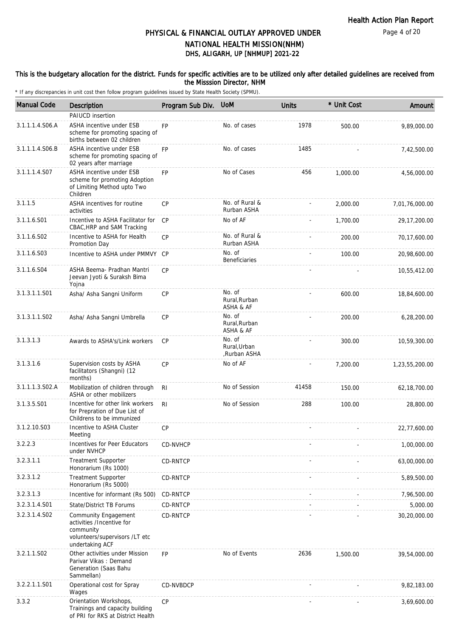#### This is the budgetary allocation for the district. Funds for specific activities are to be utilized only after detailed guidelines are received from the Misssion Director, NHM

| <b>Manual Code</b> | Description                                                                                                                | Program Sub Div. | <b>UoM</b>                             | <b>Units</b> | * Unit Cost | Amount         |
|--------------------|----------------------------------------------------------------------------------------------------------------------------|------------------|----------------------------------------|--------------|-------------|----------------|
|                    | PAIUCD insertion                                                                                                           |                  |                                        |              |             |                |
| 3.1.1.1.4.S06.A    | ASHA incentive under ESB<br>scheme for promoting spacing of<br>births between 02 children                                  | <b>FP</b>        | No. of cases                           | 1978         | 500.00      | 9,89,000.00    |
| 3.1.1.1.4.S06.B    | ASHA incentive under ESB<br>scheme for promoting spacing of<br>02 years after marriage                                     | <b>FP</b>        | No. of cases                           | 1485         |             | 7,42,500.00    |
| 3.1.1.1.4.S07      | ASHA incentive under ESB<br>scheme for promoting Adoption<br>of Limiting Method upto Two<br>Children                       | <b>FP</b>        | No of Cases                            | 456          | 1,000.00    | 4,56,000.00    |
| 3.1.1.5            | ASHA incentives for routine<br>activities                                                                                  | <b>CP</b>        | No. of Rural &<br>Rurban ASHA          |              | 2,000.00    | 7,01,76,000.00 |
| 3.1.1.6.S01        | Incentive to ASHA Facilitator for<br>CBAC, HRP and SAM Tracking                                                            | CP               | No of AF                               |              | 1,700.00    | 29, 17, 200.00 |
| 3.1.1.6.S02        | Incentive to ASHA for Health<br>Promotion Day                                                                              | <b>CP</b>        | No. of Rural &<br>Rurban ASHA          |              | 200.00      | 70,17,600.00   |
| 3.1.1.6.S03        | Incentive to ASHA under PMMVY                                                                                              | CP               | No. of<br><b>Beneficiaries</b>         |              | 100.00      | 20,98,600.00   |
| 3.1.1.6.S04        | ASHA Beema- Pradhan Mantri<br>Jeevan Jyoti & Suraksh Bima<br>Yojna                                                         | CP               |                                        |              |             | 10,55,412.00   |
| 3.1.3.1.1.S01      | Asha/ Asha Sangni Uniform                                                                                                  | CP               | No. of<br>Rural, Rurban<br>ASHA & AF   |              | 600.00      | 18,84,600.00   |
| 3.1.3.1.1.S02      | Asha/ Asha Sangni Umbrella                                                                                                 | <b>CP</b>        | No. of<br>Rural, Rurban<br>ASHA & AF   |              | 200.00      | 6,28,200.00    |
| 3.1.3.1.3          | Awards to ASHA's/Link workers                                                                                              | CP               | No. of<br>Rural, Urban<br>,Rurban ASHA |              | 300.00      | 10,59,300.00   |
| 3.1.3.1.6          | Supervision costs by ASHA<br>facilitators (Shangni) (12<br>months)                                                         | <b>CP</b>        | No of AF                               |              | 7,200.00    | 1,23,55,200.00 |
| 3.1.1.1.3.S02.A    | Mobilization of children through<br>ASHA or other mobilizers                                                               | R <sub>l</sub>   | No of Session                          | 41458        | 150.00      | 62, 18, 700.00 |
| 3.1.3.5.S01        | Incentive for other link workers<br>for Prepration of Due List of<br>Childrens to be immunized                             | RI.              | No of Session                          | 288          | 100.00      | 28,800.00      |
| 3.1.2.10.S03       | Incentive to ASHA Cluster<br>Meeting                                                                                       | <b>CP</b>        |                                        |              |             | 22,77,600.00   |
| 3.2.2.3            | Incentives for Peer Educators<br>under NVHCP                                                                               | CD-NVHCP         |                                        |              |             | 1,00,000.00    |
| 3.2.3.1.1          | <b>Treatment Supporter</b><br>Honorarium (Rs 1000)                                                                         | CD-RNTCP         |                                        |              |             | 63,00,000.00   |
| 3.2.3.1.2          | <b>Treatment Supporter</b><br>Honorarium (Rs 5000)                                                                         | CD-RNTCP         |                                        |              |             | 5,89,500.00    |
| 3.2.3.1.3          | Incentive for informant (Rs 500)                                                                                           | CD-RNTCP         |                                        |              |             | 7,96,500.00    |
| 3.2.3.1.4.S01      | State/District TB Forums                                                                                                   | CD-RNTCP         |                                        |              |             | 5,000.00       |
| 3.2.3.1.4.S02      | <b>Community Engagement</b><br>activities /Incentive for<br>community<br>volunteers/supervisors /LT etc<br>undertaking ACF | CD-RNTCP         |                                        |              |             | 30,20,000.00   |
| 3.2.1.1.S02        | Other activities under Mission<br>Parivar Vikas: Demand<br>Generation (Saas Bahu<br>Sammellan)                             | FP               | No of Events                           | 2636         | 1,500.00    | 39,54,000.00   |
| 3.2.2.1.1.S01      | Operational cost for Spray<br>Wages                                                                                        | CD-NVBDCP        |                                        |              |             | 9,82,183.00    |
| 3.3.2              | Orientation Workshops,<br>Trainings and capacity building<br>of PRI for RKS at District Health                             | CP               |                                        |              |             | 3,69,600.00    |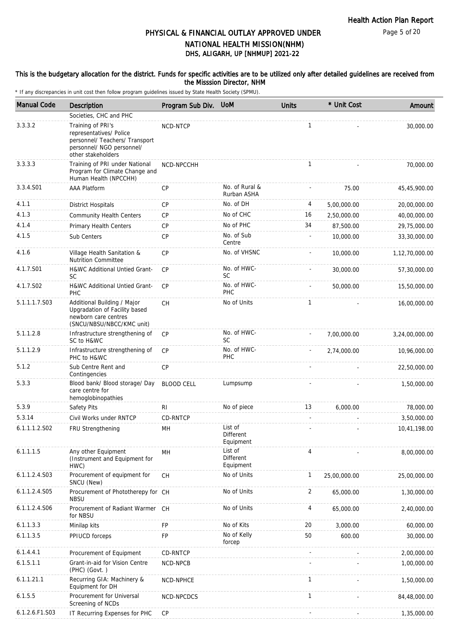Page 5 of 20

## DHS, ALIGARH, UP [NHMUP] 2021-22 PHYSICAL & FINANCIAL OUTLAY APPROVED UNDER NATIONAL HEALTH MISSION(NHM)

#### This is the budgetary allocation for the district. Funds for specific activities are to be utilized only after detailed guidelines are received from the Misssion Director, NHM

| <b>Manual Code</b> | <b>Description</b>                                                                                                                | Program Sub Div.  | <b>UoM</b>                        | <b>Units</b> | * Unit Cost  | Amount         |
|--------------------|-----------------------------------------------------------------------------------------------------------------------------------|-------------------|-----------------------------------|--------------|--------------|----------------|
|                    | Societies, CHC and PHC                                                                                                            |                   |                                   |              |              |                |
| 3.3.3.2            | Training of PRI's<br>representatives/ Police<br>personnel/ Teachers/ Transport<br>personnel/ NGO personnel/<br>other stakeholders | NCD-NTCP          |                                   | $\mathbf{1}$ |              | 30,000.00      |
| 3.3.3.3            | Training of PRI under National<br>Program for Climate Change and<br>Human Health (NPCCHH)                                         | NCD-NPCCHH        |                                   | $\mathbf{1}$ |              | 70,000.00      |
| 3.3.4.S01          | <b>AAA Platform</b>                                                                                                               | CP                | No. of Rural &<br>Rurban ASHA     |              | 75.00        | 45,45,900.00   |
| 4.1.1              | <b>District Hospitals</b>                                                                                                         | <b>CP</b>         | No. of DH                         | 4            | 5,00,000.00  | 20,00,000.00   |
| 4.1.3              | <b>Community Health Centers</b>                                                                                                   | <b>CP</b>         | No of CHC                         | 16           | 2,50,000.00  | 40,00,000.00   |
| 4.1.4              | Primary Health Centers                                                                                                            | <b>CP</b>         | No of PHC                         | 34           | 87,500.00    | 29,75,000.00   |
| 4.1.5              | Sub Centers                                                                                                                       | <b>CP</b>         | No. of Sub<br>Centre              |              | 10,000.00    | 33,30,000.00   |
| 4.1.6              | Village Health Sanitation &<br><b>Nutrition Committee</b>                                                                         | <b>CP</b>         | No. of VHSNC                      |              | 10,000.00    | 1,12,70,000.00 |
| 4.1.7.S01          | <b>H&amp;WC Additional Untied Grant-</b><br><b>SC</b>                                                                             | <b>CP</b>         | No. of HWC-<br><b>SC</b>          |              | 30,000.00    | 57,30,000.00   |
| 4.1.7.S02          | H&WC Additional Untied Grant-<br>PHC                                                                                              | CP                | No. of HWC-<br>PHC                |              | 50,000.00    | 15,50,000.00   |
| 5.1.1.1.7.S03      | Additional Building / Major<br>Upgradation of Facility based<br>newborn care centres<br>(SNCU/NBSU/NBCC/KMC unit)                 | <b>CH</b>         | No of Units                       | 1            |              | 16,00,000.00   |
| 5.1.1.2.8          | Infrastructure strengthening of<br>SC to H&WC                                                                                     | CP                | No. of HWC-<br><b>SC</b>          |              | 7,00,000.00  | 3,24,00,000.00 |
| 5.1.1.2.9          | Infrastructure strengthening of<br>PHC to H&WC                                                                                    | <b>CP</b>         | No. of HWC-<br>PHC                |              | 2,74,000.00  | 10,96,000.00   |
| 5.1.2              | Sub Centre Rent and<br>Contingencies                                                                                              | <b>CP</b>         |                                   |              |              | 22,50,000.00   |
| 5.3.3              | Blood bank/ Blood storage/ Day<br>care centre for<br>hemoglobinopathies                                                           | <b>BLOOD CELL</b> | Lumpsump                          |              |              | 1,50,000.00    |
| 5.3.9              | Safety Pits                                                                                                                       | RI                | No of piece                       | 13           | 6,000.00     | 78,000.00      |
| 5.3.14             | Civil Works under RNTCP                                                                                                           | CD-RNTCP          |                                   |              |              | 3,50,000.00    |
| 6.1.1.1.2.S02      | FRU Strengthening                                                                                                                 | MН                | List of<br>Different<br>Equipment |              |              | 10,41,198.00   |
| 6.1.1.1.5          | Any other Equipment<br>(Instrument and Equipment for<br>HWC)                                                                      | MH                | List of<br>Different<br>Equipment | 4            |              | 8,00,000.00    |
| 6.1.1.2.4.S03      | Procurement of equipment for<br>SNCU (New)                                                                                        | <b>CH</b>         | No of Units                       | 1            | 25,00,000.00 | 25,00,000.00   |
| 6.1.1.2.4.S05      | Procurement of Phototherepy for CH<br><b>NBSU</b>                                                                                 |                   | No of Units                       | 2            | 65,000.00    | 1,30,000.00    |
| 6.1.1.2.4.S06      | Procurement of Radiant Warmer CH<br>for NBSU                                                                                      |                   | No of Units                       | 4            | 65,000.00    | 2,40,000.00    |
| 6.1.1.3.3          | Minilap kits                                                                                                                      | <b>FP</b>         | No of Kits                        | 20           | 3,000.00     | 60,000.00      |
| 6.1.1.3.5          | PPIUCD forceps                                                                                                                    | FP                | No of Kelly<br>forcep             | 50           | 600.00       | 30,000.00      |
| 6.1.4.4.1          | Procurement of Equipment                                                                                                          | CD-RNTCP          |                                   |              |              | 2,00,000.00    |
| 6.1.5.1.1          | Grant-in-aid for Vision Centre<br>$(PHC)$ $(Govt.)$                                                                               | NCD-NPCB          |                                   |              |              | 1,00,000.00    |
| 6.1.1.21.1         | Recurring GIA: Machinery &<br>Equipment for DH                                                                                    | NCD-NPHCE         |                                   | 1            |              | 1,50,000.00    |
| 6.1.5.5            | Procurement for Universal<br>Screening of NCDs                                                                                    | NCD-NPCDCS        |                                   | $\mathbf{1}$ |              | 84,48,000.00   |
| 6.1.2.6.F1.S03     | IT Recurring Expenses for PHC                                                                                                     | <b>CP</b>         |                                   |              |              | 1,35,000.00    |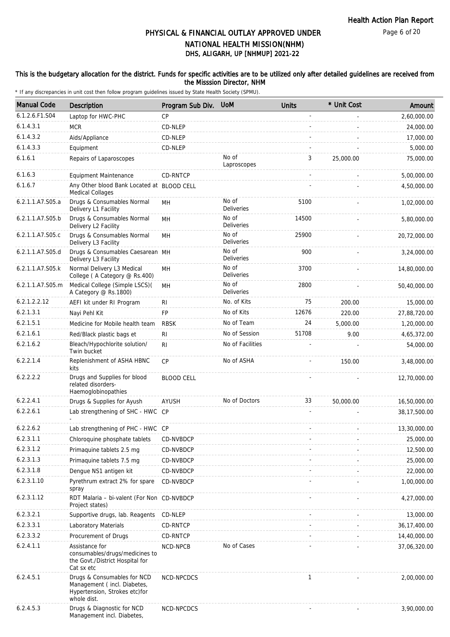### This is the budgetary allocation for the district. Funds for specific activities are to be utilized only after detailed guidelines are received from the Misssion Director, NHM

| <b>Manual Code</b> | <b>Description</b>                                                                                         | Program Sub Div.  | <b>UoM</b>                 | <b>Units</b> | * Unit Cost | Amount         |
|--------------------|------------------------------------------------------------------------------------------------------------|-------------------|----------------------------|--------------|-------------|----------------|
| 6.1.2.6.F1.S04     | Laptop for HWC-PHC                                                                                         | <b>CP</b>         |                            |              |             | 2,60,000.00    |
| 6.1.4.3.1          | <b>MCR</b>                                                                                                 | CD-NLEP           |                            |              |             | 24,000.00      |
| 6.1.4.3.2          | Aids/Appliance                                                                                             | CD-NLEP           |                            |              |             | 17,000.00      |
| 6.1.4.3.3          | Equipment                                                                                                  | CD-NLEP           |                            |              |             | 5,000.00       |
| 6.1.6.1            | Repairs of Laparoscopes                                                                                    |                   | No of<br>Laproscopes       | 3            | 25,000.00   | 75,000.00      |
| 6.1.6.3            | Equipment Maintenance                                                                                      | CD-RNTCP          |                            |              |             | 5,00,000.00    |
| 6.1.6.7            | Any Other blood Bank Located at BLOOD CELL<br>Medical Collages                                             |                   |                            |              |             | 4,50,000.00    |
| 6.2.1.1.A7.S05.a   | Drugs & Consumables Normal<br>Delivery L1 Facility                                                         | MН                | No of<br><b>Deliveries</b> | 5100         |             | 1,02,000.00    |
| 6.2.1.1.A7.S05.b   | Drugs & Consumables Normal<br>Delivery L2 Facility                                                         | MН                | No of<br><b>Deliveries</b> | 14500        |             | 5,80,000.00    |
| 6.2.1.1.A7.S05.c   | Drugs & Consumables Normal<br>Delivery L3 Facility                                                         | MН                | No of<br><b>Deliveries</b> | 25900        |             | 20,72,000.00   |
| 6.2.1.1.A7.S05.d   | Drugs & Consumables Caesarean MH<br>Delivery L3 Facility                                                   |                   | No of<br><b>Deliveries</b> | 900          |             | 3,24,000.00    |
| 6.2.1.1.A7.S05.k   | Normal Delivery L3 Medical<br>College (A Category @ Rs.400)                                                | <b>MH</b>         | No of<br>Deliveries        | 3700         |             | 14,80,000.00   |
| 6.2.1.1.A7.S05.m   | Medical College (Simple LSCS)(<br>A Category @ Rs.1800)                                                    | MН                | No of<br>Deliveries        | 2800         |             | 50,40,000.00   |
| 6.2.1.2.2.12       | AEFI kit under RI Program                                                                                  | R <sub>l</sub>    | No. of Kits                | 75           | 200.00      | 15,000.00      |
| 6.2.1.3.1          | Nayi Pehl Kit                                                                                              | <b>FP</b>         | No of Kits                 | 12676        | 220.00      | 27,88,720.00   |
| 6.2.1.5.1          | Medicine for Mobile health team                                                                            | <b>RBSK</b>       | No of Team                 | 24           | 5,000.00    | 1,20,000.00    |
| 6.2.1.6.1          | Red/Black plastic bags et                                                                                  | R <sub>l</sub>    | No of Session              | 51708        | 9.00        | 4,65,372.00    |
| 6.2.1.6.2          | Bleach/Hypochlorite solution/<br>Twin bucket                                                               | RI                | No of Facilities           |              |             | 54,000.00      |
| 6.2.2.1.4          | Replenishment of ASHA HBNC<br>kits                                                                         | CP                | No of ASHA                 |              | 150.00      | 3,48,000.00    |
| 6.2.2.2.2          | Drugs and Supplies for blood<br>related disorders-<br>Haemoglobinopathies                                  | <b>BLOOD CELL</b> |                            |              |             | 12,70,000.00   |
| 6.2.2.4.1          | Drugs & Supplies for Ayush                                                                                 | AYUSH             | No of Doctors              | 33           | 50,000.00   | 16,50,000.00   |
| 6.2.2.6.1          | Lab strengthening of SHC - HWC CP                                                                          |                   |                            |              |             | 38,17,500.00   |
| 6.2.2.6.2          | Lab strengthening of PHC - HWC CP                                                                          |                   |                            |              |             | 13,30,000.00   |
| 6.2.3.1.1          | Chloroquine phosphate tablets                                                                              | CD-NVBDCP         |                            |              |             | 25,000.00      |
| 6.2.3.1.2          | Primaguine tablets 2.5 mg                                                                                  | CD-NVBDCP         |                            |              |             | 12,500.00      |
| 6.2.3.1.3          | Primaquine tablets 7.5 mg                                                                                  | CD-NVBDCP         |                            |              |             | 25,000.00      |
| 6.2.3.1.8          | Dengue NS1 antigen kit                                                                                     | CD-NVBDCP         |                            |              |             | 22,000.00      |
| 6.2.3.1.10         | Pyrethrum extract 2% for spare<br>spray                                                                    | CD-NVBDCP         |                            |              |             | 1,00,000.00    |
| 6.2.3.1.12         | RDT Malaria - bi-valent (For Non CD-NVBDCP<br>Project states)                                              |                   |                            |              |             | 4,27,000.00    |
| 6.2.3.2.1          | Supportive drugs, lab. Reagents                                                                            | CD-NLEP           |                            |              |             | 13,000.00      |
| 6.2.3.3.1          | Laboratory Materials                                                                                       | CD-RNTCP          |                            |              |             | 36, 17, 400.00 |
| 6.2.3.3.2          | Procurement of Drugs                                                                                       | CD-RNTCP          |                            |              |             | 14,40,000.00   |
| 6.2.4.1.1          | Assistance for<br>consumables/drugs/medicines to<br>the Govt./District Hospital for<br>Cat sx etc          | NCD-NPCB          | No of Cases                |              |             | 37,06,320.00   |
| 6.2.4.5.1          | Drugs & Consumables for NCD<br>Management (incl. Diabetes,<br>Hypertension, Strokes etc)for<br>whole dist. | NCD-NPCDCS        |                            | 1            |             | 2,00,000.00    |
| 6.2.4.5.3          | Drugs & Diagnostic for NCD<br>Management incl. Diabetes,                                                   | NCD-NPCDCS        |                            |              |             | 3,90,000.00    |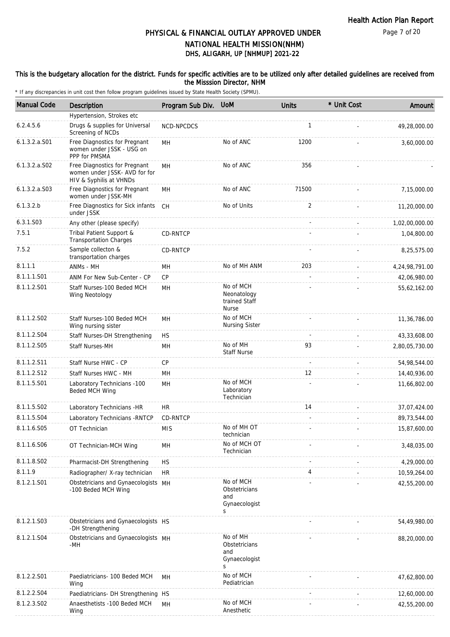#### This is the budgetary allocation for the district. Funds for specific activities are to be utilized only after detailed guidelines are received from the Misssion Director, NHM

| 6.2.4.5.6<br>6.1.3.2.a.S01<br>6.1.3.2.a.S02<br>6.1.3.2.a. S03 | Hypertension, Strokes etc<br>Drugs & supplies for Universal<br>Screening of NCDs<br>Free Diagnostics for Pregnant<br>women under JSSK - USG on<br>PPP for PMSMA<br>Free Diagnostics for Pregnant<br>women under JSSK- AVD for for<br>HIV & Syphilis at VHNDs<br>Free Diagnostics for Pregnant<br>women under JSSK-MH<br>Free Diagnostics for Sick infants<br>under JSSK<br>Any other (please specify) | NCD-NPCDCS<br>MH<br>MН<br>MH<br><b>CH</b> | No of ANC<br>No of ANC<br>No of ANC                       | $\mathbf{1}$<br>1200<br>356<br>71500 | 49,28,000.00<br>3,60,000.00 |
|---------------------------------------------------------------|-------------------------------------------------------------------------------------------------------------------------------------------------------------------------------------------------------------------------------------------------------------------------------------------------------------------------------------------------------------------------------------------------------|-------------------------------------------|-----------------------------------------------------------|--------------------------------------|-----------------------------|
|                                                               |                                                                                                                                                                                                                                                                                                                                                                                                       |                                           |                                                           |                                      |                             |
|                                                               |                                                                                                                                                                                                                                                                                                                                                                                                       |                                           |                                                           |                                      |                             |
|                                                               |                                                                                                                                                                                                                                                                                                                                                                                                       |                                           |                                                           |                                      |                             |
|                                                               |                                                                                                                                                                                                                                                                                                                                                                                                       |                                           |                                                           |                                      |                             |
|                                                               |                                                                                                                                                                                                                                                                                                                                                                                                       |                                           |                                                           |                                      | 7,15,000.00                 |
| 6.1.3.2.b                                                     |                                                                                                                                                                                                                                                                                                                                                                                                       |                                           | No of Units                                               | 2                                    | 11,20,000.00                |
| 6.3.1.S03                                                     |                                                                                                                                                                                                                                                                                                                                                                                                       |                                           |                                                           |                                      | 1,02,00,000.00              |
| 7.5.1                                                         | Tribal Patient Support &<br><b>Transportation Charges</b>                                                                                                                                                                                                                                                                                                                                             | CD-RNTCP                                  |                                                           |                                      | 1,04,800.00                 |
| 7.5.2                                                         | Sample collecton &<br>transportation charges                                                                                                                                                                                                                                                                                                                                                          | CD-RNTCP                                  |                                                           |                                      | 8,25,575.00                 |
| 8.1.1.1                                                       | ANMs - MH                                                                                                                                                                                                                                                                                                                                                                                             | MН                                        | No of MH ANM                                              | 203                                  | 4,24,98,791.00              |
| 8.1.1.1.S01                                                   | ANM For New Sub-Center - CP                                                                                                                                                                                                                                                                                                                                                                           | CP                                        |                                                           | $\overline{a}$                       | 42,06,980.00                |
| 8.1.1.2.S01                                                   | Staff Nurses-100 Beded MCH<br>Wing Neotology                                                                                                                                                                                                                                                                                                                                                          | MH                                        | No of MCH<br>Neonatology<br>trained Staff<br><b>Nurse</b> |                                      | 55,62,162.00                |
| 8.1.1.2.S02                                                   | Staff Nurses-100 Beded MCH<br>Wing nursing sister                                                                                                                                                                                                                                                                                                                                                     | MH                                        | No of MCH<br><b>Nursing Sister</b>                        |                                      | 11,36,786.00                |
| 8.1.1.2.S04                                                   | Staff Nurses-DH Strengthening                                                                                                                                                                                                                                                                                                                                                                         | <b>HS</b>                                 |                                                           |                                      | 43,33,608.00                |
| 8.1.1.2.S05                                                   | Staff Nurses-MH                                                                                                                                                                                                                                                                                                                                                                                       | MH                                        | No of MH<br><b>Staff Nurse</b>                            | 93                                   | 2,80,05,730.00              |
| 8.1.1.2.S11                                                   | Staff Nurse HWC - CP                                                                                                                                                                                                                                                                                                                                                                                  | CP                                        |                                                           | $\overline{\phantom{a}}$             | 54,98,544.00                |
| 8.1.1.2.S12                                                   | Staff Nurses HWC - MH                                                                                                                                                                                                                                                                                                                                                                                 | MH                                        |                                                           | 12                                   | 14,40,936.00                |
| 8.1.1.5.S01                                                   | Laboratory Technicians -100<br>Beded MCH Wing                                                                                                                                                                                                                                                                                                                                                         | MH                                        | No of MCH<br>Laboratory<br>Technician                     |                                      | 11,66,802.00                |
| 8.1.1.5.S02                                                   | Laboratory Technicians -HR                                                                                                                                                                                                                                                                                                                                                                            | <b>HR</b>                                 |                                                           | 14                                   | 37,07,424.00                |
| 8.1.1.5.S04                                                   | Laboratory Technicians - RNTCP                                                                                                                                                                                                                                                                                                                                                                        | CD-RNTCP                                  |                                                           | $\overline{a}$                       | 89,73,544.00                |
| 8.1.1.6.S05                                                   | OT Technician                                                                                                                                                                                                                                                                                                                                                                                         | <b>MIS</b>                                | No of MH OT<br>technician                                 |                                      | 15,87,600.00                |
| 8.1.1.6.S06                                                   | OT Technician-MCH Wing                                                                                                                                                                                                                                                                                                                                                                                | MH                                        | No of MCH OT<br>Technician                                |                                      | 3,48,035.00                 |
| 8.1.1.8.S02                                                   | Pharmacist-DH Strengthening                                                                                                                                                                                                                                                                                                                                                                           | <b>HS</b>                                 |                                                           |                                      | 4,29,000.00                 |
| 8.1.1.9                                                       | Radiographer/ X-ray technician                                                                                                                                                                                                                                                                                                                                                                        | <b>HR</b>                                 |                                                           | 4                                    | 10,59,264.00                |
| 8.1.2.1.S01                                                   | Obstetricians and Gynaecologists MH<br>-100 Beded MCH Wing                                                                                                                                                                                                                                                                                                                                            |                                           | No of MCH<br>Obstetricians<br>and<br>Gynaecologist<br>S   |                                      | 42,55,200.00                |
| 8.1.2.1.S03                                                   | Obstetricians and Gynaecologists HS<br>-DH Strengthening                                                                                                                                                                                                                                                                                                                                              |                                           |                                                           |                                      | 54,49,980.00                |
| 8.1.2.1.S04                                                   | Obstetricians and Gynaecologists MH<br>-MH                                                                                                                                                                                                                                                                                                                                                            |                                           | No of MH<br>Obstetricians<br>and<br>Gynaecologist<br>S    |                                      | 88,20,000.00                |
| 8.1.2.2.S01                                                   | Paediatricians- 100 Beded MCH<br>Wing                                                                                                                                                                                                                                                                                                                                                                 | MН                                        | No of MCH<br>Pediatrician                                 |                                      | 47,62,800.00                |
| 8.1.2.2.S04                                                   | Paediatricians- DH Strengthening HS                                                                                                                                                                                                                                                                                                                                                                   |                                           |                                                           |                                      | 12,60,000.00                |
| 8.1.2.3.S02                                                   | Anaesthetists -100 Beded MCH<br>Wing                                                                                                                                                                                                                                                                                                                                                                  | MH                                        | No of MCH<br>Anesthetic                                   |                                      | 42,55,200.00                |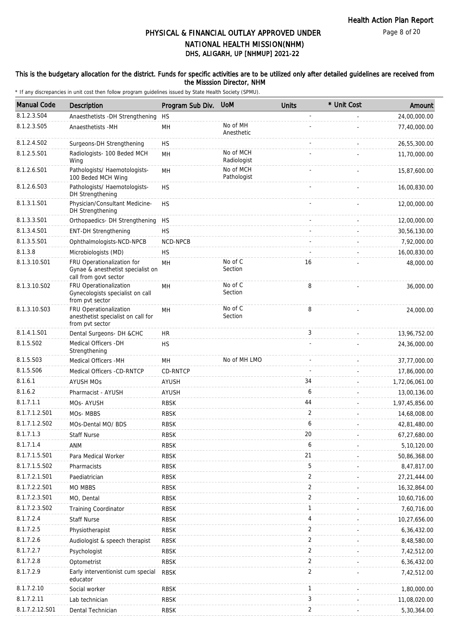### This is the budgetary allocation for the district. Funds for specific activities are to be utilized only after detailed guidelines are received from the Misssion Director, NHM

| <b>Manual Code</b> | <b>Description</b>                                                                       | Program Sub Div. | <b>UoM</b>               | <b>Units</b>   | * Unit Cost | Amount         |
|--------------------|------------------------------------------------------------------------------------------|------------------|--------------------------|----------------|-------------|----------------|
| 8.1.2.3.S04        | Anaesthetists -DH Strengthening                                                          | <b>HS</b>        |                          |                |             | 24,00,000.00   |
| 8.1.2.3.S05        | Anaesthetists -MH                                                                        | MН               | No of MH<br>Anesthetic   |                |             | 77,40,000.00   |
| 8.1.2.4.S02        | Surgeons-DH Strengthening                                                                | <b>HS</b>        |                          |                |             | 26,55,300.00   |
| 8.1.2.5.S01        | Radiologists- 100 Beded MCH<br>Wing                                                      | MH               | No of MCH<br>Radiologist |                |             | 11,70,000.00   |
| 8.1.2.6.S01        | Pathologists/ Haemotologists-<br>100 Beded MCH Wing                                      | MH               | No of MCH<br>Pathologist |                |             | 15,87,600.00   |
| 8.1.2.6.S03        | Pathologists/ Haemotologists-<br>DH Strengthening                                        | <b>HS</b>        |                          |                |             | 16,00,830.00   |
| 8.1.3.1.S01        | Physician/Consultant Medicine-<br>DH Strengthening                                       | <b>HS</b>        |                          |                |             | 12,00,000.00   |
| 8.1.3.3.S01        | Orthopaedics- DH Strengthening                                                           | <b>HS</b>        |                          |                |             | 12,00,000.00   |
| 8.1.3.4.S01        | <b>ENT-DH Strengthening</b>                                                              | <b>HS</b>        |                          |                |             | 30,56,130.00   |
| 8.1.3.5.S01        | Ophthalmologists-NCD-NPCB                                                                | NCD-NPCB         |                          |                |             | 7,92,000.00    |
| 8.1.3.8            | Microbiologists (MD)                                                                     | <b>HS</b>        |                          |                |             | 16,00,830.00   |
| 8.1.3.10.S01       | FRU Operationalization for<br>Gynae & anesthetist specialist on<br>call from govt sector | MH               | No of C<br>Section       | 16             |             | 48,000.00      |
| 8.1.3.10.S02       | FRU Operationalization<br>Gynecologists specialist on call<br>from pvt sector            | MH               | No of C<br>Section       | 8              |             | 36,000.00      |
| 8.1.3.10.S03       | FRU Operationalization<br>anesthetist specialist on call for<br>from pvt sector          | MH               | No of C<br>Section       | 8              |             | 24,000.00      |
| 8.1.4.1.S01        | Dental Surgeons- DH &CHC                                                                 | HR               |                          | 3              |             | 13,96,752.00   |
| 8.1.5.S02          | Medical Officers -DH<br>Strengthening                                                    | <b>HS</b>        |                          |                |             | 24,36,000.00   |
| 8.1.5.S03          | Medical Officers - MH                                                                    | MH               | No of MH LMO             |                |             | 37,77,000.00   |
| 8.1.5.S06          | Medical Officers -CD-RNTCP                                                               | CD-RNTCP         |                          |                |             | 17,86,000.00   |
| 8.1.6.1            | <b>AYUSH MOS</b>                                                                         | <b>AYUSH</b>     |                          | 34             |             | 1,72,06,061.00 |
| 8.1.6.2            | Pharmacist - AYUSH                                                                       | <b>AYUSH</b>     |                          | 6              |             | 13,00,136.00   |
| 8.1.7.1.1          | MOs-AYUSH                                                                                | <b>RBSK</b>      |                          | 44             |             | 1,97,45,856.00 |
| 8.1.7.1.2.S01      | MOs-MBBS                                                                                 | <b>RBSK</b>      |                          | 2              |             | 14,68,008.00   |
| 8.1.7.1.2.S02      | MOs-Dental MO/ BDS                                                                       | <b>RBSK</b>      |                          | 6              |             | 42,81,480.00   |
| 8.1.7.1.3          | Staff Nurse                                                                              | <b>RBSK</b>      |                          | 20             |             | 67,27,680.00   |
| 8.1.7.1.4          | ANM                                                                                      | <b>RBSK</b>      |                          | 6              |             | 5,10,120.00    |
| 8.1.7.1.5.S01      | Para Medical Worker                                                                      | <b>RBSK</b>      |                          | 21             |             | 50,86,368.00   |
| 8.1.7.1.5.S02      | Pharmacists                                                                              | <b>RBSK</b>      |                          | 5              |             | 8,47,817.00    |
| 8.1.7.2.1.S01      | Paediatrician                                                                            | <b>RBSK</b>      |                          | $\overline{2}$ |             | 27,21,444.00   |
| 8.1.7.2.2.S01      | <b>MO MBBS</b>                                                                           | <b>RBSK</b>      |                          | $\overline{2}$ |             | 16,32,864.00   |
| 8.1.7.2.3.S01      | MO, Dental                                                                               | RBSK             |                          | $\overline{2}$ |             | 10,60,716.00   |
| 8.1.7.2.3.S02      | <b>Training Coordinator</b>                                                              | <b>RBSK</b>      |                          | 1              |             | 7,60,716.00    |
| 8.1.7.2.4          | <b>Staff Nurse</b>                                                                       | <b>RBSK</b>      |                          | 4              |             | 10,27,656.00   |
| 8.1.7.2.5          | Physiotherapist                                                                          | RBSK             |                          | 2              |             | 6,36,432.00    |
| 8.1.7.2.6          | Audiologist & speech therapist                                                           | <b>RBSK</b>      |                          | $\overline{2}$ |             | 8,48,580.00    |
| 8.1.7.2.7          | Psychologist                                                                             | <b>RBSK</b>      |                          | $\overline{2}$ |             | 7,42,512.00    |
| 8.1.7.2.8          | Optometrist                                                                              | RBSK             |                          | $\overline{2}$ |             | 6,36,432.00    |
| 8.1.7.2.9          | Early interventionist cum special<br>educator                                            | <b>RBSK</b>      |                          | $\overline{2}$ |             | 7,42,512.00    |
| 8.1.7.2.10         | Social worker                                                                            | <b>RBSK</b>      |                          | $\mathbf{1}$   |             | 1,80,000.00    |
| 8.1.7.2.11         | Lab technician                                                                           | <b>RBSK</b>      |                          | 3              |             | 11,08,020.00   |
| 8.1.7.2.12.S01     | Dental Technician                                                                        | <b>RBSK</b>      |                          | $\overline{2}$ |             | 5,30,364.00    |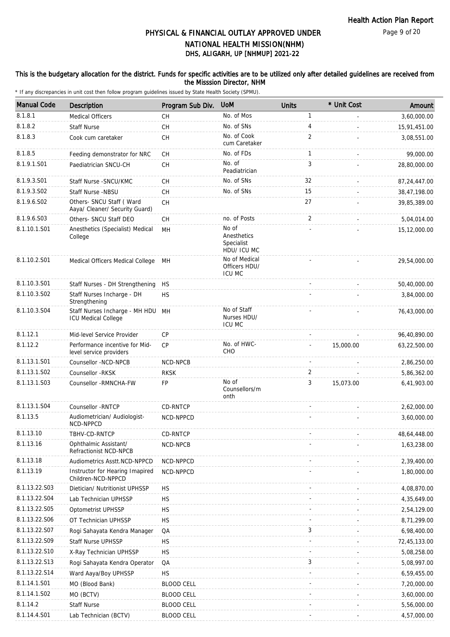### This is the budgetary allocation for the district. Funds for specific activities are to be utilized only after detailed guidelines are received from the Misssion Director, NHM

| <b>Manual Code</b> | <b>Description</b>                                              | Program Sub Div.  | <b>UoM</b>                                        | <b>Units</b> | * Unit Cost | Amount       |
|--------------------|-----------------------------------------------------------------|-------------------|---------------------------------------------------|--------------|-------------|--------------|
| 8.1.8.1            | <b>Medical Officers</b>                                         | СH                | No. of Mos                                        | $\mathbf{1}$ |             | 3,60,000.00  |
| 8.1.8.2            | <b>Staff Nurse</b>                                              | <b>CH</b>         | No. of SNs                                        | 4            |             | 15,91,451.00 |
| 8.1.8.3            | Cook cum caretaker                                              | СH                | No. of Cook<br>cum Caretaker                      | 2            |             | 3,08,551.00  |
| 8.1.8.5            | Feeding demonstrator for NRC                                    | СH                | No. of FDs                                        | $\mathbf{1}$ |             | 99,000.00    |
| 8.1.9.1.S01        | Paediatrician SNCU-CH                                           | СH                | No. of<br>Peadiatrician                           | 3            |             | 28,80,000.00 |
| 8.1.9.3.S01        | Staff Nurse - SNCU/KMC                                          | СH                | No. of SNs                                        | 32           |             | 87,24,447.00 |
| 8.1.9.3.SO2        | Staff Nurse -NBSU                                               | <b>CH</b>         | No. of SNs                                        | 15           |             | 38,47,198.00 |
| 8.1.9.6.S02        | Others- SNCU Staff (Ward<br>Aaya/ Cleaner/ Security Guard)      | <b>CH</b>         |                                                   | 27           |             | 39,85,389.00 |
| 8.1.9.6.S03        | Others- SNCU Staff DEO                                          | <b>CH</b>         | no. of Posts                                      | 2            |             | 5,04,014.00  |
| 8.1.10.1.S01       | Anesthetics (Specialist) Medical<br>College                     | MН                | No of<br>Anesthetics<br>Specialist<br>HDU/ ICU MC |              |             | 15,12,000.00 |
| 8.1.10.2.S01       | Medical Officers Medical College                                | MН                | No of Medical<br>Officers HDU/<br><b>ICU MC</b>   |              |             | 29,54,000.00 |
| 8.1.10.3.S01       | Staff Nurses - DH Strengthening                                 | <b>HS</b>         |                                                   |              |             | 50,40,000.00 |
| 8.1.10.3.S02       | Staff Nurses Incharge - DH<br>Strengthening                     | <b>HS</b>         |                                                   |              |             | 3,84,000.00  |
| 8.1.10.3.S04       | Staff Nurses Incharge - MH HDU MH<br><b>ICU Medical College</b> |                   | No of Staff<br>Nurses HDU/<br><b>ICU MC</b>       |              |             | 76,43,000.00 |
| 8.1.12.1           | Mid-level Service Provider                                      | CP                |                                                   |              |             | 96,40,890.00 |
| 8.1.12.2           | Performance incentive for Mid-<br>level service providers       | <b>CP</b>         | No. of HWC-<br>CHO                                |              | 15,000.00   | 63,22,500.00 |
| 8.1.13.1.S01       | Counsellor -NCD-NPCB                                            | NCD-NPCB          |                                                   |              |             | 2,86,250.00  |
| 8.1.13.1.S02       | Counsellor -RKSK                                                | <b>RKSK</b>       |                                                   | 2            |             | 5,86,362.00  |
| 8.1.13.1.S03       | Counsellor - RMNCHA-FW                                          | FP                | No of<br>Counsellors/m<br>onth                    | 3            | 15,073.00   | 6,41,903.00  |
| 8.1.13.1.S04       | Counsellor - RNTCP                                              | CD-RNTCP          |                                                   |              |             | 2,62,000.00  |
| 8.1.13.5           | Audiometrician/ Audiologist-<br>NCD-NPPCD                       | NCD-NPPCD         |                                                   |              |             | 3,60,000.00  |
| 8.1.13.10          | TBHV-CD-RNTCP                                                   | CD-RNTCP          |                                                   |              |             | 48,64,448.00 |
| 8.1.13.16          | Ophthalmic Assistant/<br>Refractionist NCD-NPCB                 | NCD-NPCB          |                                                   |              |             | 1,63,238.00  |
| 8.1.13.18          | Audiometrics Asstt.NCD-NPPCD                                    | NCD-NPPCD         |                                                   |              |             | 2,39,400.00  |
| 8.1.13.19          | Instructor for Hearing Imapired<br>Children-NCD-NPPCD           | NCD-NPPCD         |                                                   |              |             | 1,80,000.00  |
| 8.1.13.22.S03      | Dietician/ Nutritionist UPHSSP                                  | HS.               |                                                   |              |             | 4,08,870.00  |
| 8.1.13.22.S04      | Lab Technician UPHSSP                                           | НS                |                                                   |              |             | 4,35,649.00  |
| 8.1.13.22.S05      | Optometrist UPHSSP                                              | HS.               |                                                   |              |             | 2,54,129.00  |
| 8.1.13.22.S06      | OT Technician UPHSSP                                            | <b>HS</b>         |                                                   |              |             | 8,71,299.00  |
| 8.1.13.22.S07      | Rogi Sahayata Kendra Manager                                    | QA                |                                                   | 3            |             | 6,98,400.00  |
| 8.1.13.22.S09      | Staff Nurse UPHSSP                                              | <b>HS</b>         |                                                   |              |             | 72,45,133.00 |
| 8.1.13.22.S10      | X-Ray Technician UPHSSP                                         | <b>HS</b>         |                                                   |              |             | 5,08,258.00  |
| 8.1.13.22.S13      | Rogi Sahayata Kendra Operator                                   | QA                |                                                   | 3            |             | 5,08,997.00  |
| 8.1.13.22.S14      | Ward Aaya/Boy UPHSSP                                            | <b>HS</b>         |                                                   |              |             | 6,59,455.00  |
| 8.1.14.1.S01       | MO (Blood Bank)                                                 | <b>BLOOD CELL</b> |                                                   |              |             | 7,20,000.00  |
| 8.1.14.1.S02       | MO (BCTV)                                                       | <b>BLOOD CELL</b> |                                                   |              |             | 3,60,000.00  |
| 8.1.14.2           | <b>Staff Nurse</b>                                              | <b>BLOOD CELL</b> |                                                   |              |             | 5,56,000.00  |
| 8.1.14.4.S01       | Lab Technician (BCTV)                                           | <b>BLOOD CELL</b> |                                                   |              |             | 4,57,000.00  |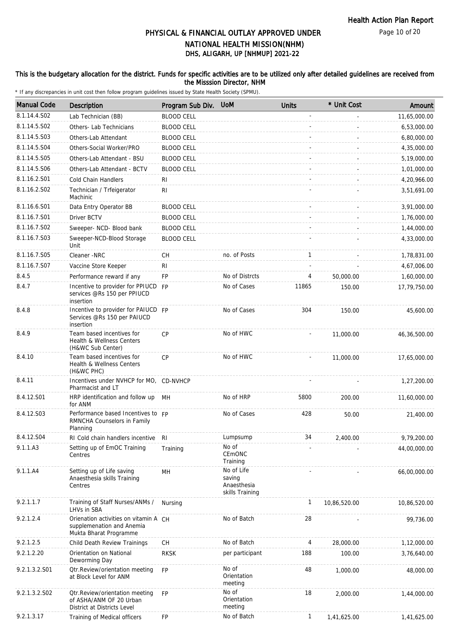Page 10 of 20

# DHS, ALIGARH, UP [NHMUP] 2021-22 PHYSICAL & FINANCIAL OUTLAY APPROVED UNDER NATIONAL HEALTH MISSION(NHM)

### This is the budgetary allocation for the district. Funds for specific activities are to be utilized only after detailed guidelines are received from the Misssion Director, NHM

| <b>Manual Code</b> | <b>Description</b>                                                                           | Program Sub Div.  | <b>UoM</b>                                             | <b>Units</b> | * Unit Cost  | Amount       |
|--------------------|----------------------------------------------------------------------------------------------|-------------------|--------------------------------------------------------|--------------|--------------|--------------|
| 8.1.14.4.S02       | Lab Technician (BB)                                                                          | <b>BLOOD CELL</b> |                                                        |              |              | 11,65,000.00 |
| 8.1.14.5.S02       | Others- Lab Technicians                                                                      | <b>BLOOD CELL</b> |                                                        |              |              | 6,53,000.00  |
| 8.1.14.5.S03       | Others-Lab Attendant                                                                         | <b>BLOOD CELL</b> |                                                        |              |              | 6,80,000.00  |
| 8.1.14.5.S04       | Others-Social Worker/PRO                                                                     | <b>BLOOD CELL</b> |                                                        |              |              | 4,35,000.00  |
| 8.1.14.5.S05       | Others-Lab Attendant - BSU                                                                   | <b>BLOOD CELL</b> |                                                        |              |              | 5,19,000.00  |
| 8.1.14.5.S06       | Others-Lab Attendant - BCTV                                                                  | <b>BLOOD CELL</b> |                                                        |              |              | 1,01,000.00  |
| 8.1.16.2.S01       | Cold Chain Handlers                                                                          | <b>RI</b>         |                                                        |              |              | 4,20,966.00  |
| 8.1.16.2.S02       | Technician / Trfeigerator<br>Machinic                                                        | RI                |                                                        |              |              | 3,51,691.00  |
| 8.1.16.6.S01       | Data Entry Operator BB                                                                       | <b>BLOOD CELL</b> |                                                        |              |              | 3,91,000.00  |
| 8.1.16.7.S01       | Driver BCTV                                                                                  | <b>BLOOD CELL</b> |                                                        |              |              | 1,76,000.00  |
| 8.1.16.7.S02       | Sweeper- NCD- Blood bank                                                                     | <b>BLOOD CELL</b> |                                                        |              |              | 1,44,000.00  |
| 8.1.16.7.S03       | Sweeper-NCD-Blood Storage<br>Unit                                                            | <b>BLOOD CELL</b> |                                                        |              |              | 4,33,000.00  |
| 8.1.16.7.S05       | Cleaner -NRC                                                                                 | <b>CH</b>         | no. of Posts                                           | $\mathbf{1}$ |              | 1,78,831.00  |
| 8.1.16.7.S07       | Vaccine Store Keeper                                                                         | R <sub>l</sub>    |                                                        |              |              | 4,67,006.00  |
| 8.4.5              | Performance reward if any                                                                    | FP                | No of Distrcts                                         | 4            | 50,000.00    | 1,60,000.00  |
| 8.4.7              | Incentive to provider for PPIUCD FP<br>services @Rs 150 per PPIUCD<br>insertion              |                   | No of Cases                                            | 11865        | 150.00       | 17,79,750.00 |
| 8.4.8              | Incentive to provider for PAIUCD FP<br>Services @Rs 150 per PAIUCD<br>insertion              |                   | No of Cases                                            | 304          | 150.00       | 45,600.00    |
| 8.4.9              | Team based incentives for<br>Health & Wellness Centers<br>(H&WC Sub Center)                  | CP                | No of HWC                                              |              | 11,000.00    | 46,36,500.00 |
| 8.4.10             | Team based incentives for<br>Health & Wellness Centers<br>(H&WC PHC)                         | CP                | No of HWC                                              |              | 11,000.00    | 17,65,000.00 |
| 8.4.11             | Incentives under NVHCP for MO, CD-NVHCP<br>Pharmacist and LT                                 |                   |                                                        |              |              | 1,27,200.00  |
| 8.4.12.S01         | HRP identification and follow up<br>for ANM                                                  | MH                | No of HRP                                              | 5800         | 200.00       | 11,60,000.00 |
| 8.4.12.S03         | Performance based Incentives to FP<br>RMNCHA Counselors in Family<br>Planning                |                   | No of Cases                                            | 428          | 50.00        | 21,400.00    |
| 8.4.12.S04         | RI Cold chain handlers incentive                                                             | <b>RI</b>         | Lumpsump                                               | 34           | 2,400.00     | 9,79,200.00  |
| 9.1.1.A3           | Setting up of EmOC Training<br>Centres                                                       | Training          | No of<br>CEMONC<br>Training                            |              |              | 44,00,000.00 |
| 9.1.1.A4           | Setting up of Life saving<br>Anaesthesia skills Training<br>Centres                          | MН                | No of Life<br>saving<br>Anaesthesia<br>skills Training |              |              | 66,00,000.00 |
| 9.2.1.1.7          | Training of Staff Nurses/ANMs /<br>LHVs in SBA                                               | Nursing           |                                                        | 1            | 10,86,520.00 | 10,86,520.00 |
| 9.2.1.2.4          | Orienation activities on vitamin A CH<br>supplemenation and Anemia<br>Mukta Bharat Programme |                   | No of Batch                                            | 28           |              | 99,736.00    |
| 9.2.1.2.5          | Child Death Review Trainings                                                                 | CH                | No of Batch                                            | 4            | 28,000.00    | 1,12,000.00  |
| 9.2.1.2.20         | Orientation on National<br>Deworming Day                                                     | <b>RKSK</b>       | per participant                                        | 188          | 100.00       | 3,76,640.00  |
| 9.2.1.3.2.S01      | <b>Qtr.Review/orientation meeting</b><br>at Block Level for ANM                              | <b>FP</b>         | No of<br>Orientation<br>meeting                        | 48           | 1,000.00     | 48,000.00    |
| 9.2.1.3.2.S02      | Otr. Review/orientation meeting<br>of ASHA/ANM OF 20 Urban<br>District at Districts Level    | <b>FP</b>         | No of<br>Orientation<br>meeting                        | 18           | 2,000.00     | 1,44,000.00  |
| 9.2.1.3.17         | Training of Medical officers                                                                 | FP                | No of Batch                                            | $\mathbf{1}$ | 1,41,625.00  | 1,41,625.00  |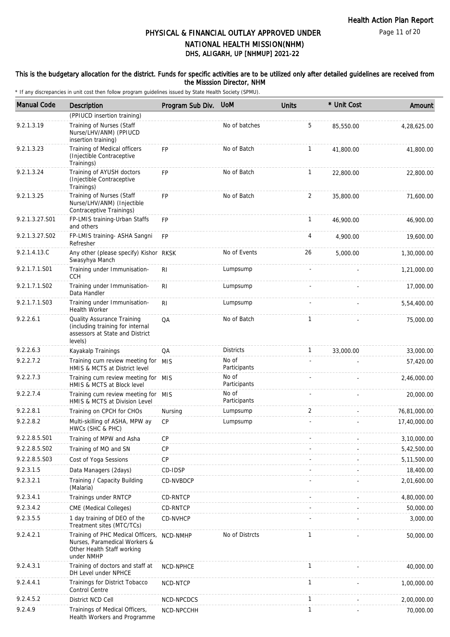#### This is the budgetary allocation for the district. Funds for specific activities are to be utilized only after detailed guidelines are received from the Misssion Director, NHM

| <b>Manual Code</b> | <b>Description</b>                                                                                             | Program Sub Div. | <b>UoM</b>            | <b>Units</b> | * Unit Cost | Amount       |
|--------------------|----------------------------------------------------------------------------------------------------------------|------------------|-----------------------|--------------|-------------|--------------|
|                    | (PPIUCD insertion training)                                                                                    |                  |                       |              |             |              |
| 9.2.1.3.19         | Training of Nurses (Staff<br>Nurse/LHV/ANM) (PPIUCD<br>insertion training)                                     |                  | No of batches         | 5            | 85,550.00   | 4,28,625.00  |
| 9.2.1.3.23         | Training of Medical officers<br>(Injectible Contraceptive<br>Trainings)                                        | <b>FP</b>        | No of Batch           | 1            | 41,800.00   | 41,800.00    |
| 9.2.1.3.24         | Training of AYUSH doctors<br>(Injectible Contraceptive<br>Trainings)                                           | <b>FP</b>        | No of Batch           | $\mathbf{1}$ | 22,800.00   | 22,800.00    |
| 9.2.1.3.25         | Training of Nurses (Staff<br>Nurse/LHV/ANM) (Injectible<br>Contraceptive Trainings)                            | <b>FP</b>        | No of Batch           | 2            | 35,800.00   | 71,600.00    |
| 9.2.1.3.27.S01     | FP-LMIS training-Urban Staffs<br>and others                                                                    | <b>FP</b>        |                       | $\mathbf{1}$ | 46,900.00   | 46,900.00    |
| 9.2.1.3.27.S02     | FP-LMIS training- ASHA Sangni<br>Refresher                                                                     | <b>FP</b>        |                       | 4            | 4,900.00    | 19,600.00    |
| 9.2.1.4.13.C       | Any other (please specify) Kishor RKSK<br>Swasyhya Manch                                                       |                  | No of Events          | 26           | 5.000.00    | 1,30,000.00  |
| 9.2.1.7.1.S01      | Training under Immunisation-<br><b>CCH</b>                                                                     | R <sub>1</sub>   | Lumpsump              |              |             | 1,21,000.00  |
| 9.2.1.7.1.S02      | Training under Immunisation-<br>Data Handler                                                                   | RI               | Lumpsump              |              |             | 17,000.00    |
| 9.2.1.7.1.S03      | Training under Immunisation-<br><b>Health Worker</b>                                                           | R <sub>1</sub>   | Lumpsump              |              |             | 5,54,400.00  |
| 9.2.2.6.1          | Quality Assurance Training<br>(including training for internal<br>assessors at State and District<br>levels)   | QA               | No of Batch           | 1            |             | 75,000.00    |
| 9.2.2.6.3          | Kayakalp Trainings                                                                                             | QA               | <b>Districts</b>      | $\mathbf{1}$ | 33,000.00   | 33,000.00    |
| 9.2.2.7.2          | Training cum review meeting for MIS<br>HMIS & MCTS at District level                                           |                  | No of<br>Participants |              |             | 57,420.00    |
| 9.2.2.7.3          | Training cum review meeting for MIS<br>HMIS & MCTS at Block level                                              |                  | No of<br>Participants |              |             | 2,46,000.00  |
| 9.2.2.7.4          | Training cum review meeting for MIS<br>HMIS & MCTS at Division Level                                           |                  | No of<br>Participants |              |             | 20,000.00    |
| 9.2.2.8.1          | Training on CPCH for CHOs                                                                                      | Nursing          | Lumpsump              | 2            |             | 76,81,000.00 |
| 9.2.2.8.2          | Multi-skilling of ASHA, MPW ay<br>HWCs (SHC & PHC)                                                             | CP               | Lumpsump              |              |             | 17,40,000.00 |
| 9.2.2.8.5.S01      | Training of MPW and Asha                                                                                       | <b>CP</b>        |                       |              |             | 3,10,000.00  |
| 9.2.2.8.5.S02      | Training of MO and SN                                                                                          | <b>CP</b>        |                       |              |             | 5,42,500.00  |
| 9.2.2.8.5.S03      | Cost of Yoga Sessions                                                                                          | <b>CP</b>        |                       |              |             | 5,11,500.00  |
| 9.2.3.1.5          | Data Managers (2days)                                                                                          | CD-IDSP          |                       |              |             | 18,400.00    |
| 9.2.3.2.1          | Training / Capacity Building<br>(Malaria)                                                                      | CD-NVBDCP        |                       |              |             | 2,01,600.00  |
| 9.2.3.4.1          | Trainings under RNTCP                                                                                          | CD-RNTCP         |                       |              |             | 4,80,000.00  |
| 9.2.3.4.2          | CME (Medical Colleges)                                                                                         | CD-RNTCP         |                       |              |             | 50,000.00    |
| 9.2.3.5.5          | 1 day training of DEO of the<br>Treatment sites (MTC/TCs)                                                      | CD-NVHCP         |                       |              |             | 3,000.00     |
| 9.2.4.2.1          | Training of PHC Medical Officers,<br>Nurses, Paramedical Workers &<br>Other Health Staff working<br>under NMHP | NCD-NMHP         | No of Distrcts        | 1            |             | 50,000.00    |
| 9.2.4.3.1          | Training of doctors and staff at<br>DH Level under NPHCE                                                       | NCD-NPHCE        |                       | $\mathbf{1}$ |             | 40,000.00    |
| 9.2.4.4.1          | Trainings for District Tobacco<br>Control Centre                                                               | NCD-NTCP         |                       | $\mathbf{1}$ |             | 1,00,000.00  |
| 9.2.4.5.2          | District NCD Cell                                                                                              | NCD-NPCDCS       |                       | $\mathbf{1}$ |             | 2,00,000.00  |
| 9.2.4.9            | Trainings of Medical Officers,<br>Health Workers and Programme                                                 | NCD-NPCCHH       |                       | 1            |             | 70,000.00    |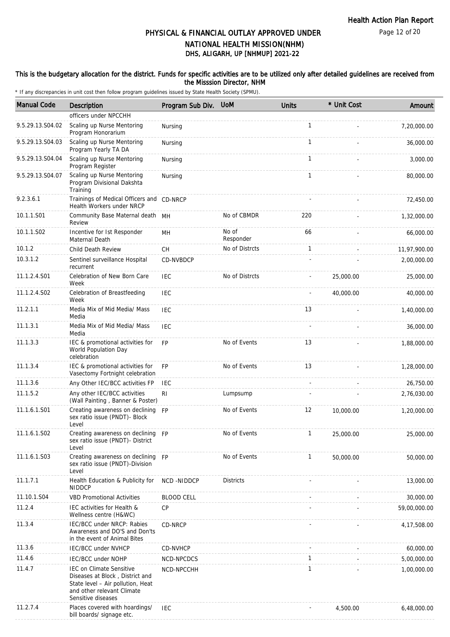Page 12 of 20

# DHS, ALIGARH, UP [NHMUP] 2021-22 PHYSICAL & FINANCIAL OUTLAY APPROVED UNDER NATIONAL HEALTH MISSION(NHM)

#### This is the budgetary allocation for the district. Funds for specific activities are to be utilized only after detailed guidelines are received from the Misssion Director, NHM

| <b>Manual Code</b> | Description                                                                                                                                                 | Program Sub Div.  | <b>UoM</b>         | <b>Units</b> | * Unit Cost | Amount       |
|--------------------|-------------------------------------------------------------------------------------------------------------------------------------------------------------|-------------------|--------------------|--------------|-------------|--------------|
|                    | officers under NPCCHH                                                                                                                                       |                   |                    |              |             |              |
| 9.5.29.13.S04.02   | Scaling up Nurse Mentoring<br>Program Honorarium                                                                                                            | Nursing           |                    | 1            |             | 7,20,000.00  |
| 9.5.29.13.S04.03   | Scaling up Nurse Mentoring<br>Program Yearly TA DA                                                                                                          | Nursing           |                    | $\mathbf{1}$ |             | 36,000.00    |
| 9.5.29.13.S04.04   | Scaling up Nurse Mentoring<br>Program Register                                                                                                              | Nursing           |                    | 1            |             | 3,000.00     |
| 9.5.29.13.S04.07   | Scaling up Nurse Mentoring<br>Program Divisional Dakshta<br>Training                                                                                        | Nursing           |                    | $\mathbf{1}$ |             | 80,000.00    |
| 9.2.3.6.1          | Trainings of Medical Officers and CD-NRCP<br>Health Workers under NRCP                                                                                      |                   |                    |              |             | 72,450.00    |
| 10.1.1.S01         | Community Base Maternal death MH<br>Review                                                                                                                  |                   | No of CBMDR        | 220          |             | 1,32,000.00  |
| 10.1.1.S02         | Incentive for 1st Responder<br>Maternal Death                                                                                                               | MH                | No of<br>Responder | 66           |             | 66,000.00    |
| 10.1.2             | Child Death Review                                                                                                                                          | CH                | No of Distrcts     | $\mathbf{1}$ |             | 11,97,900.00 |
| 10.3.1.2           | Sentinel surveillance Hospital<br>recurrent                                                                                                                 | CD-NVBDCP         |                    |              |             | 2,00,000.00  |
| 11.1.2.4.S01       | Celebration of New Born Care<br>Week                                                                                                                        | <b>IEC</b>        | No of Distrcts     |              | 25,000.00   | 25,000.00    |
| 11.1.2.4.S02       | Celebration of Breastfeeding<br>Week                                                                                                                        | <b>IEC</b>        |                    |              | 40,000.00   | 40,000.00    |
| 11.2.1.1           | Media Mix of Mid Media/ Mass<br>Media                                                                                                                       | <b>IEC</b>        |                    | 13           |             | 1,40,000.00  |
| 11.1.3.1           | Media Mix of Mid Media/ Mass<br>Media                                                                                                                       | <b>IEC</b>        |                    |              |             | 36,000.00    |
| 11.1.3.3           | IEC & promotional activities for<br>World Population Day<br>celebration                                                                                     | <b>FP</b>         | No of Events       | 13           |             | 1,88,000.00  |
| 11.1.3.4           | IEC & promotional activities for<br>Vasectomy Fortnight celebration                                                                                         | <b>FP</b>         | No of Events       | 13           |             | 1,28,000.00  |
| 11.1.3.6           | Any Other IEC/BCC activities FP                                                                                                                             | <b>IEC</b>        |                    | $\sim$       |             | 26,750.00    |
| 11.1.5.2           | Any other IEC/BCC activities<br>(Wall Painting, Banner & Poster)                                                                                            | R <sub>l</sub>    | Lumpsump           |              |             | 2,76,030.00  |
| 11.1.6.1.S01       | Creating awareness on declining FP<br>sex ratio issue (PNDT)- Block<br>Level                                                                                |                   | No of Events       | 12           | 10,000.00   | 1,20,000.00  |
| 11.1.6.1.S02       | Creating awareness on declining FP<br>sex ratio issue (PNDT) - District<br>Level                                                                            |                   | No of Events       | 1            | 25,000.00   | 25,000.00    |
| 11.1.6.1.S03       | Creating awareness on declining FP<br>sex ratio issue (PNDT)-Division<br>Level                                                                              |                   | No of Events       | $\mathbf{1}$ | 50,000.00   | 50,000.00    |
| 11.1.7.1           | Health Education & Publicity for<br><b>NIDDCP</b>                                                                                                           | NCD-NIDDCP        | <b>Districts</b>   |              |             | 13,000.00    |
| 11.10.1.S04        | <b>VBD Promotional Activities</b>                                                                                                                           | <b>BLOOD CELL</b> |                    |              |             | 30,000.00    |
| 11.2.4             | IEC activities for Health &<br>Wellness centre (H&WC)                                                                                                       | CP                |                    |              |             | 59,00,000.00 |
| 11.3.4             | IEC/BCC under NRCP: Rabies<br>Awareness and DO'S and Don'ts<br>in the event of Animal Bites                                                                 | CD-NRCP           |                    |              |             | 4,17,508.00  |
| 11.3.6             | <b>IEC/BCC under NVHCP</b>                                                                                                                                  | CD-NVHCP          |                    |              |             | 60,000.00    |
| 11.4.6             | IEC/BCC under NOHP                                                                                                                                          | NCD-NPCDCS        |                    | 1            |             | 5,00,000.00  |
| 11.4.7             | <b>IEC on Climate Sensitive</b><br>Diseases at Block, District and<br>State level - Air pollution, Heat<br>and other relevant Climate<br>Sensitive diseases | NCD-NPCCHH        |                    | $\mathbf{1}$ |             | 1,00,000.00  |
| 11.2.7.4           | Places covered with hoardings/<br>bill boards/ signage etc.                                                                                                 | IEC               |                    |              | 4,500.00    | 6,48,000.00  |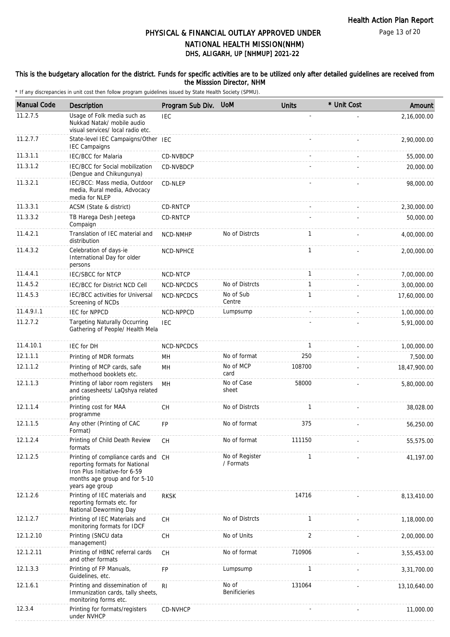Page 13 of 20

## DHS, ALIGARH, UP [NHMUP] 2021-22 PHYSICAL & FINANCIAL OUTLAY APPROVED UNDER NATIONAL HEALTH MISSION(NHM)

#### This is the budgetary allocation for the district. Funds for specific activities are to be utilized only after detailed guidelines are received from the Misssion Director, NHM

| <b>Manual Code</b> | Description                                                                                                                                             | Program Sub Div. | <b>UoM</b>                    | <b>Units</b> | * Unit Cost | Amount       |
|--------------------|---------------------------------------------------------------------------------------------------------------------------------------------------------|------------------|-------------------------------|--------------|-------------|--------------|
| 11.2.7.5           | Usage of Folk media such as<br>Nukkad Natak/ mobile audio<br>visual services/ local radio etc.                                                          | <b>IEC</b>       |                               |              |             | 2.16.000.00  |
| 11.2.7.7           | State-level IEC Campaigns/Other IEC<br><b>IEC Campaigns</b>                                                                                             |                  |                               |              |             | 2,90,000.00  |
| 11.3.1.1           | <b>IEC/BCC</b> for Malaria                                                                                                                              | CD-NVBDCP        |                               |              |             | 55,000.00    |
| 11.3.1.2           | IEC/BCC for Social mobilization<br>(Dengue and Chikungunya)                                                                                             | CD-NVBDCP        |                               |              |             | 20,000.00    |
| 11.3.2.1           | IEC/BCC: Mass media, Outdoor<br>media, Rural media, Advocacy<br>media for NLEP                                                                          | CD-NLEP          |                               |              |             | 98,000.00    |
| 11.3.3.1           | ACSM (State & district)                                                                                                                                 | CD-RNTCP         |                               |              |             | 2,30,000.00  |
| 11.3.3.2           | TB Harega Desh Jeetega<br>Compaign                                                                                                                      | CD-RNTCP         |                               |              |             | 50,000.00    |
| 11.4.2.1           | Translation of IEC material and<br>distribution                                                                                                         | NCD-NMHP         | No of Distrcts                | $\mathbf{1}$ |             | 4,00,000.00  |
| 11.4.3.2           | Celebration of days-ie<br>International Day for older<br>persons                                                                                        | NCD-NPHCE        |                               | $\mathbf{1}$ |             | 2,00,000.00  |
| 11.4.4.1           | <b>IEC/SBCC for NTCP</b>                                                                                                                                | NCD-NTCP         |                               | $\mathbf{1}$ |             | 7,00,000.00  |
| 11.4.5.2           | IEC/BCC for District NCD Cell                                                                                                                           | NCD-NPCDCS       | No of Distrcts                | $\mathbf{1}$ |             | 3,00,000.00  |
| 11.4.5.3           | IEC/BCC activities for Universal<br>Screening of NCDs                                                                                                   | NCD-NPCDCS       | No of Sub<br>Centre           | $\mathbf{1}$ |             | 17,60,000.00 |
| 11.4.9.1.1         | <b>IEC for NPPCD</b>                                                                                                                                    | NCD-NPPCD        | Lumpsump                      |              |             | 1,00,000.00  |
| 11.2.7.2           | <b>Targeting Naturally Occurring</b><br>Gathering of People/ Health Mela                                                                                | <b>IEC</b>       |                               |              |             | 5,91,000.00  |
| 11.4.10.1          | <b>IEC for DH</b>                                                                                                                                       | NCD-NPCDCS       |                               | $\mathbf{1}$ |             | 1,00,000.00  |
| 12.1.1.1           | Printing of MDR formats                                                                                                                                 | MН               | No of format                  | 250          |             | 7,500.00     |
| 12.1.1.2           | Printing of MCP cards, safe<br>motherhood booklets etc.                                                                                                 | MH               | No of MCP<br>card             | 108700       |             | 18,47,900.00 |
| 12.1.1.3           | Printing of labor room registers<br>and casesheets/ LaQshya related<br>printing                                                                         | MH               | No of Case<br>sheet           | 58000        |             | 5,80,000.00  |
| 12.1.1.4           | Printing cost for MAA<br>programme                                                                                                                      | <b>CH</b>        | No of Distrcts                | $\mathbf{1}$ |             | 38,028.00    |
| 12.1.1.5           | Any other (Printing of CAC<br>Format)                                                                                                                   | <b>FP</b>        | No of format                  | 375          |             | 56,250.00    |
| 12.1.2.4           | Printing of Child Death Review<br>formats                                                                                                               | <b>CH</b>        | No of format                  | 111150       |             | 55,575.00    |
| 12.1.2.5           | Printing of compliance cards and<br>reporting formats for National<br>Iron Plus Initiative-for 6-59<br>months age group and for 5-10<br>years age group | <b>CH</b>        | No of Register<br>/ Formats   | $\mathbf{1}$ |             | 41,197.00    |
| 12.1.2.6           | Printing of IEC materials and<br>reporting formats etc. for<br>National Deworming Day                                                                   | <b>RKSK</b>      |                               | 14716        |             | 8,13,410.00  |
| 12.1.2.7           | Printing of IEC Materials and<br>monitoring formats for IDCF                                                                                            | CH               | No of Distrcts                | $\mathbf{1}$ |             | 1,18,000.00  |
| 12.1.2.10          | Printing (SNCU data<br>management)                                                                                                                      | <b>CH</b>        | No of Units                   | 2            |             | 2,00,000.00  |
| 12.1.2.11          | Printing of HBNC referral cards<br>and other formats                                                                                                    | <b>CH</b>        | No of format                  | 710906       |             | 3,55,453.00  |
| 12.1.3.3           | Printing of FP Manuals,<br>Guidelines, etc.                                                                                                             | FP               | Lumpsump                      | $\mathbf{1}$ |             | 3,31,700.00  |
| 12.1.6.1           | Printing and dissemination of<br>Immunization cards, tally sheets,<br>monitoring forms etc.                                                             | <b>RI</b>        | No of<br><b>Benificieries</b> | 131064       |             | 13,10,640.00 |
| 12.3.4             | Printing for formats/registers<br>under NVHCP                                                                                                           | CD-NVHCP         |                               |              |             | 11,000.00    |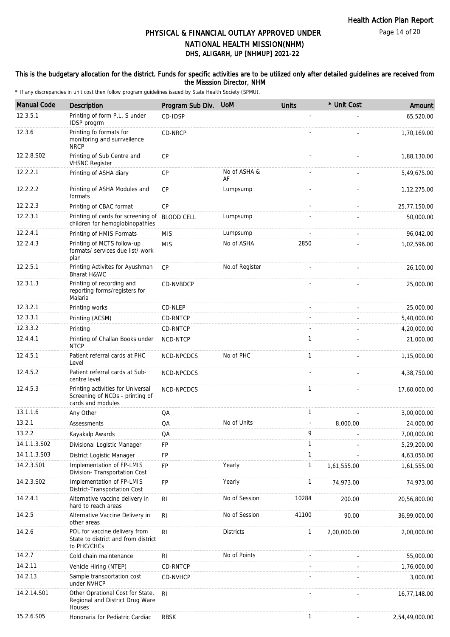#### This is the budgetary allocation for the district. Funds for specific activities are to be utilized only after detailed guidelines are received from the Misssion Director, NHM

| <b>Manual Code</b> | <b>Description</b>                                                                        | Program Sub Div.  | <b>UoM</b>         | <b>Units</b> | * Unit Cost | Amount         |
|--------------------|-------------------------------------------------------------------------------------------|-------------------|--------------------|--------------|-------------|----------------|
| 12.3.5.1           | Printing of form P,L, S under<br>IDSP progrm                                              | CD-IDSP           |                    |              |             | 65,520.00      |
| 12.3.6             | Printing fo formats for<br>monitoring and surrveilence<br><b>NRCP</b>                     | CD-NRCP           |                    |              |             | 1,70,169.00    |
| 12.2.8.S02         | Printing of Sub Centre and<br><b>VHSNC Register</b>                                       | <b>CP</b>         |                    |              |             | 1,88,130.00    |
| 12.2.2.1           | Printing of ASHA diary                                                                    | <b>CP</b>         | No of ASHA &<br>AF |              |             | 5,49,675.00    |
| 12.2.2.2           | Printing of ASHA Modules and<br>formats                                                   | <b>CP</b>         | Lumpsump           |              |             | 1, 12, 275.00  |
| 12.2.2.3           | Printing of CBAC format                                                                   | CP                |                    |              |             | 25,77,150.00   |
| 12.2.3.1           | Printing of cards for screening of<br>children for hemoglobinopathies                     | <b>BLOOD CELL</b> | Lumpsump           |              |             | 50,000.00      |
| 12.2.4.1           | Printing of HMIS Formats                                                                  | <b>MIS</b>        | Lumpsump           |              |             | 96,042.00      |
| 12.2.4.3           | Printing of MCTS follow-up<br>formats/ services due list/ work<br>plan                    | <b>MIS</b>        | No of ASHA         | 2850         |             | 1,02,596.00    |
| 12.2.5.1           | Printing Activites for Ayushman<br>Bharat H&WC                                            | <b>CP</b>         | No.of Register     |              |             | 26,100.00      |
| 12.3.1.3           | Printing of recording and<br>reporting forms/registers for<br>Malaria                     | CD-NVBDCP         |                    |              |             | 25,000.00      |
| 12.3.2.1           | Printing works                                                                            | CD-NLEP           |                    |              |             | 25,000.00      |
| 12.3.3.1           | Printing (ACSM)                                                                           | CD-RNTCP          |                    |              |             | 5,40,000.00    |
| 12.3.3.2           | Printing                                                                                  | CD-RNTCP          |                    |              |             | 4,20,000.00    |
| 12.4.4.1           | Printing of Challan Books under<br><b>NTCP</b>                                            | NCD-NTCP          |                    | $\mathbf{1}$ |             | 21,000.00      |
| 12.4.5.1           | Patient referral cards at PHC<br>Level                                                    | NCD-NPCDCS        | No of PHC          | 1            |             | 1,15,000.00    |
| 12.4.5.2           | Patient referral cards at Sub-<br>centre level                                            | NCD-NPCDCS        |                    |              |             | 4,38,750.00    |
| 12.4.5.3           | Printing activities for Universal<br>Screening of NCDs - printing of<br>cards and modules | NCD-NPCDCS        |                    | $\mathbf{1}$ |             | 17,60,000.00   |
| 13.1.1.6           | Any Other                                                                                 | QA                |                    | $\mathbf{1}$ |             | 3,00,000.00    |
| 13.2.1             | Assessments                                                                               | QA                | No of Units        |              | 8,000.00    | 24,000.00      |
| 13.2.2             | Kayakalp Awards                                                                           | QA                |                    | 9            |             | 7,00,000.00    |
| 14.1.1.3.S02       | Divisional Logistic Manager                                                               | FP                |                    | 1            |             | 5,29,200.00    |
| 14.1.1.3.S03       | District Logistic Manager                                                                 | FP                |                    | $\mathbf{1}$ |             | 4,63,050.00    |
| 14.2.3.S01         | Implementation of FP-LMIS<br>Division- Transportation Cost                                | FP                | Yearly             | 1            | 1,61,555.00 | 1,61,555.00    |
| 14.2.3.S02         | Implementation of FP-LMIS<br>District-Transportation Cost                                 | FP                | Yearly             | $\mathbf{1}$ | 74,973.00   | 74,973.00      |
| 14.2.4.1           | Alternative vaccine delivery in<br>hard to reach areas                                    | <b>RI</b>         | No of Session      | 10284        | 200.00      | 20,56,800.00   |
| 14.2.5             | Alternative Vaccine Delivery in<br>other areas                                            | R <sub>1</sub>    | No of Session      | 41100        | 90.00       | 36,99,000.00   |
| 14.2.6             | POL for vaccine delivery from<br>State to district and from district<br>to PHC/CHCs       | R <sub>1</sub>    | <b>Districts</b>   | $\mathbf{1}$ | 2,00,000.00 | 2,00,000.00    |
| 14.2.7             | Cold chain maintenance                                                                    | R <sub>l</sub>    | No of Points       |              |             | 55,000.00      |
| 14.2.11            | Vehicle Hiring (NTEP)                                                                     | CD-RNTCP          |                    |              |             | 1,76,000.00    |
| 14.2.13            | Sample transportation cost<br>under NVHCP                                                 | CD-NVHCP          |                    |              |             | 3,000.00       |
| 14.2.14.S01        | Other Oprational Cost for State,<br>Regional and District Drug Ware<br>Houses             | R <sub>1</sub>    |                    |              |             | 16,77,148.00   |
| 15.2.6.S05         | Honoraria for Pediatric Cardiac                                                           | <b>RBSK</b>       |                    | 1            |             | 2,54,49,000.00 |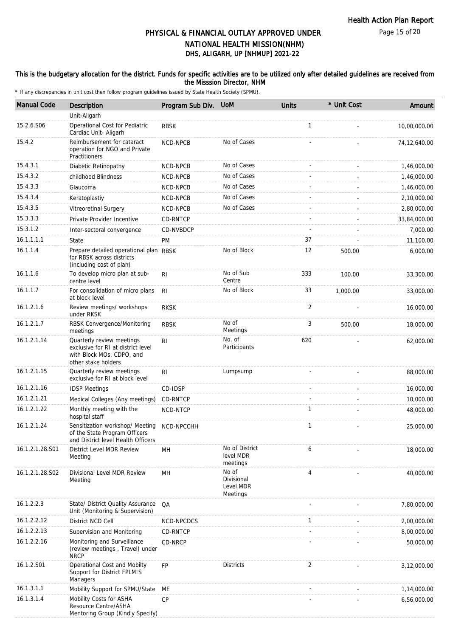Page 15 of 20

## DHS, ALIGARH, UP [NHMUP] 2021-22 PHYSICAL & FINANCIAL OUTLAY APPROVED UNDER NATIONAL HEALTH MISSION(NHM)

### This is the budgetary allocation for the district. Funds for specific activities are to be utilized only after detailed guidelines are received from the Misssion Director, NHM

| <b>Manual Code</b> | Description                                                                                                         | Program Sub Div. | <b>UoM</b>                                   | <b>Units</b> | * Unit Cost | Amount       |
|--------------------|---------------------------------------------------------------------------------------------------------------------|------------------|----------------------------------------------|--------------|-------------|--------------|
|                    | Unit-Aligarh                                                                                                        |                  |                                              |              |             |              |
| 15.2.6.S06         | Operational Cost for Pediatric<br>Cardiac Unit- Aligarh                                                             | <b>RBSK</b>      |                                              | $\mathbf{1}$ |             | 10,00,000.00 |
| 15.4.2             | Reimbursement for cataract<br>operation for NGO and Private<br>Practitioners                                        | NCD-NPCB         | No of Cases                                  |              |             | 74,12,640.00 |
| 15.4.3.1           | Diabetic Retinopathy                                                                                                | NCD-NPCB         | No of Cases                                  |              |             | 1,46,000.00  |
| 15.4.3.2           | childhood Blindness                                                                                                 | NCD-NPCB         | No of Cases                                  |              |             | 1,46,000.00  |
| 15.4.3.3           | Glaucoma                                                                                                            | NCD-NPCB         | No of Cases                                  |              |             | 1,46,000.00  |
| 15.4.3.4           | Keratoplastiy                                                                                                       | <b>NCD-NPCB</b>  | No of Cases                                  |              |             | 2,10,000.00  |
| 15.4.3.5           | Vitreoretinal Surgery                                                                                               | NCD-NPCB         | No of Cases                                  |              |             | 2,80,000.00  |
| 15.3.3.3           | Private Provider Incentive                                                                                          | CD-RNTCP         |                                              |              |             | 33,84,000.00 |
| 15.3.1.2           | Inter-sectoral convergence                                                                                          | CD-NVBDCP        |                                              |              |             | 7,000.00     |
| 16.1.1.1.1         | State                                                                                                               | PM               |                                              | 37           |             | 11,100.00    |
| 16.1.1.4           | Prepare detailed operational plan RBSK<br>for RBSK across districts<br>(including cost of plan)                     |                  | No of Block                                  | 12           | 500.00      | 6,000.00     |
| 16.1.1.6           | To develop micro plan at sub-<br>centre level                                                                       | R <sub>l</sub>   | No of Sub<br>Centre                          | 333          | 100.00      | 33,300.00    |
| 16.1.1.7           | For consolidation of micro plans<br>at block level                                                                  | R <sub>l</sub>   | No of Block                                  | 33           | 1,000.00    | 33,000.00    |
| 16.1.2.1.6         | Review meetings/ workshops<br>under RKSK                                                                            | <b>RKSK</b>      |                                              | 2            |             | 16,000.00    |
| 16.1.2.1.7         | RBSK Convergence/Monitoring<br>meetings                                                                             | <b>RBSK</b>      | No of<br>Meetings                            | 3            | 500.00      | 18,000.00    |
| 16.1.2.1.14        | Quarterly review meetings<br>exclusive for RI at district level<br>with Block MOs, CDPO, and<br>other stake holders | R <sub>l</sub>   | No. of<br>Participants                       | 620          |             | 62,000.00    |
| 16.1.2.1.15        | Quarterly review meetings<br>exclusive for RI at block level                                                        | RI               | Lumpsump                                     |              |             | 88,000.00    |
| 16.1.2.1.16        | <b>IDSP Meetings</b>                                                                                                | CD-IDSP          |                                              |              |             | 16,000.00    |
| 16.1.2.1.21        | Medical Colleges (Any meetings)                                                                                     | CD-RNTCP         |                                              |              |             | 10,000.00    |
| 16.1.2.1.22        | Monthly meeting with the<br>hospital staff                                                                          | NCD-NTCP         |                                              | 1            |             | 48,000.00    |
| 16.1.2.1.24        | Sensitization workshop/ Meeting<br>of the State Program Officers<br>and District level Health Officers              | NCD-NPCCHH       |                                              | 1            |             | 25,000.00    |
| 16.1.2.1.28.S01    | District Level MDR Review<br>Meeting                                                                                | MH               | No of District<br>level MDR<br>meetings      | 6            |             | 18,000.00    |
| 16.1.2.1.28.S02    | Divisional Level MDR Review<br>Meeting                                                                              | MН               | No of<br>Divisional<br>Level MDR<br>Meetings | 4            |             | 40,000.00    |
| 16.1.2.2.3         | State/ District Quality Assurance<br>Unit (Monitoring & Supervision)                                                | QA               |                                              |              |             | 7,80,000.00  |
| 16.1.2.2.12        | District NCD Cell                                                                                                   | NCD-NPCDCS       |                                              | $\mathbf{1}$ |             | 2,00,000.00  |
| 16.1.2.2.13        | Supervision and Monitoring                                                                                          | CD-RNTCP         |                                              |              |             | 8,00,000.00  |
| 16.1.2.2.16        | Monitoring and Surveillance<br>(review meetings, Travel) under<br><b>NRCP</b>                                       | CD-NRCP          |                                              |              |             | 50,000.00    |
| 16.1.2.S01         | Operational Cost and Mobilty<br>Support for District FPLMIS<br>Managers                                             | <b>FP</b>        | <b>Districts</b>                             | 2            |             | 3,12,000.00  |
| 16.1.3.1.1         | Mobility Support for SPMU/State                                                                                     | МE               |                                              |              |             | 1,14,000.00  |
| 16.1.3.1.4         | Mobility Costs for ASHA<br>Resource Centre/ASHA<br>Mentoring Group (Kindly Specify)                                 | <b>CP</b>        |                                              |              |             | 6,56,000.00  |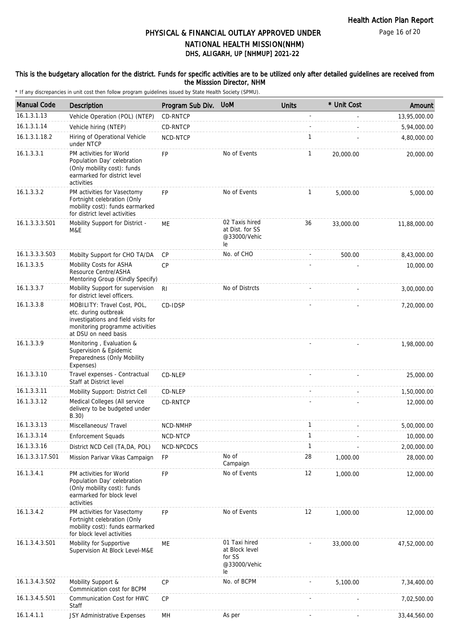Page 16 of 20

## DHS, ALIGARH, UP [NHMUP] 2021-22 PHYSICAL & FINANCIAL OUTLAY APPROVED UNDER NATIONAL HEALTH MISSION(NHM)

#### This is the budgetary allocation for the district. Funds for specific activities are to be utilized only after detailed guidelines are received from the Misssion Director, NHM

| <b>Manual Code</b> | Description                                                                                                                                           | Program Sub Div. | <b>UoM</b>                                                      | <b>Units</b>   | * Unit Cost | Amount       |
|--------------------|-------------------------------------------------------------------------------------------------------------------------------------------------------|------------------|-----------------------------------------------------------------|----------------|-------------|--------------|
| 16.1.3.1.13        | Vehicle Operation (POL) (NTEP)                                                                                                                        | CD-RNTCP         |                                                                 | $\overline{a}$ |             | 13,95,000.00 |
| 16.1.3.1.14        | Vehicle hiring (NTEP)                                                                                                                                 | CD-RNTCP         |                                                                 |                |             | 5,94,000.00  |
| 16.1.3.1.18.2      | Hiring of Operational Vehicle<br>under NTCP                                                                                                           | NCD-NTCP         |                                                                 | 1              |             | 4,80,000.00  |
| 16.1.3.3.1         | PM activities for World<br>Population Day' celebration<br>(Only mobility cost): funds<br>earmarked for district level<br>activities                   | FP.              | No of Events                                                    | $\mathbf{1}$   | 20,000.00   | 20,000.00    |
| 16.1.3.3.2         | PM activities for Vasectomy<br>Fortnight celebration (Only<br>mobility cost): funds earmarked<br>for district level activities                        | <b>FP</b>        | No of Events                                                    | $\mathbf{1}$   | 5,000.00    | 5,000.00     |
| 16.1.3.3.3.S01     | Mobility Support for District -<br>M&E                                                                                                                | ME               | 02 Taxis hired<br>at Dist. for SS<br>@33000/Vehic<br>le         | 36             | 33,000.00   | 11,88,000.00 |
| 16.1.3.3.3.S03     | Mobilty Support for CHO TA/DA                                                                                                                         | <b>CP</b>        | No. of CHO                                                      |                | 500.00      | 8,43,000.00  |
| 16.1.3.3.5         | Mobility Costs for ASHA<br>Resource Centre/ASHA<br>Mentoring Group (Kindly Specify)                                                                   | CP               |                                                                 |                |             | 10,000.00    |
| 16.1.3.3.7         | Mobility Support for supervision<br>for district level officers.                                                                                      | R <sub>l</sub>   | No of Distrcts                                                  |                |             | 3,00,000.00  |
| 16.1.3.3.8         | MOBILITY: Travel Cost, POL,<br>etc. during outbreak<br>investigations and field visits for<br>monitoring programme activities<br>at DSU on need basis | CD-IDSP          |                                                                 |                |             | 7,20,000.00  |
| 16.1.3.3.9         | Monitoring, Evaluation &<br>Supervision & Epidemic<br>Preparedness (Only Mobility<br>Expenses)                                                        |                  |                                                                 |                |             | 1,98,000.00  |
| 16.1.3.3.10        | Travel expenses - Contractual<br>Staff at District level                                                                                              | CD-NLEP          |                                                                 |                |             | 25,000.00    |
| 16.1.3.3.11        | Mobility Support: District Cell                                                                                                                       | CD-NLEP          |                                                                 |                |             | 1,50,000.00  |
| 16.1.3.3.12        | Medical Colleges (All service<br>delivery to be budgeted under<br>B.30)                                                                               | CD-RNTCP         |                                                                 |                |             | 12,000.00    |
| 16.1.3.3.13        | Miscellaneous/ Travel                                                                                                                                 | NCD-NMHP         |                                                                 | 1              |             | 5,00,000.00  |
| 16.1.3.3.14        | Enforcement Squads                                                                                                                                    | NCD-NTCP         |                                                                 | 1              |             | 10,000.00    |
| 16.1.3.3.16        | District NCD Cell (TA, DA, POL)                                                                                                                       | NCD-NPCDCS       |                                                                 | $\mathbf{1}$   |             | 2,00,000.00  |
| 16.1.3.3.17.S01    | Mission Parivar Vikas Campaign                                                                                                                        | FP               | No of<br>Campaign                                               | 28             | 1,000.00    | 28,000.00    |
| 16.1.3.4.1         | PM activities for World<br>Population Day' celebration<br>(Only mobility cost): funds<br>earmarked for block level<br>activities                      | <b>FP</b>        | No of Events                                                    | 12             | 1,000.00    | 12,000.00    |
| 16.1.3.4.2         | PM activities for Vasectomy<br>Fortnight celebration (Only<br>mobility cost): funds earmarked<br>for block level activities                           | <b>FP</b>        | No of Events                                                    | 12             | 1,000.00    | 12,000.00    |
| 16.1.3.4.3.S01     | Mobility for Supportive<br>Supervision At Block Level-M&E                                                                                             | ME               | 01 Taxi hired<br>at Block level<br>for SS<br>@33000/Vehic<br>le |                | 33,000.00   | 47,52,000.00 |
| 16.1.3.4.3.S02     | Mobility Support &<br>Commnication cost for BCPM                                                                                                      | <b>CP</b>        | No. of BCPM                                                     |                | 5,100.00    | 7,34,400.00  |
| 16.1.3.4.5.S01     | Communication Cost for HWC<br>Staff                                                                                                                   | <b>CP</b>        |                                                                 |                |             | 7,02,500.00  |
| 16.1.4.1.1         | JSY Administrative Expenses                                                                                                                           | MH               | As per                                                          |                |             | 33,44,560.00 |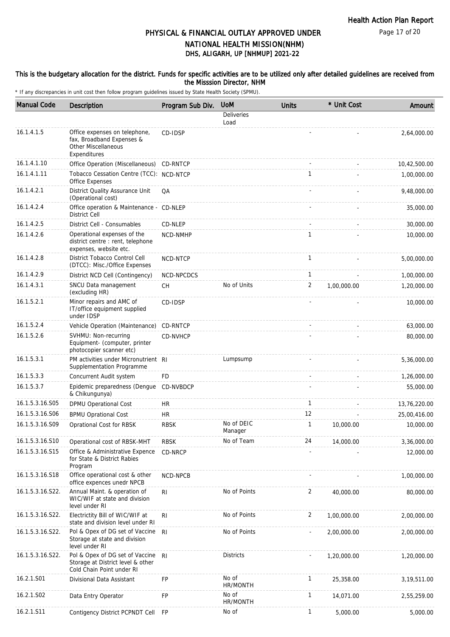Page 17 of 20

## DHS, ALIGARH, UP [NHMUP] 2021-22 PHYSICAL & FINANCIAL OUTLAY APPROVED UNDER NATIONAL HEALTH MISSION(NHM)

#### This is the budgetary allocation for the district. Funds for specific activities are to be utilized only after detailed guidelines are received from the Misssion Director, NHM

| <b>Manual Code</b> | <b>Description</b>                                                                                       | Program Sub Div. | <b>UoM</b>                | <b>Units</b> | * Unit Cost | Amount       |
|--------------------|----------------------------------------------------------------------------------------------------------|------------------|---------------------------|--------------|-------------|--------------|
|                    |                                                                                                          |                  | <b>Deliveries</b><br>Load |              |             |              |
| 16.1.4.1.5         | Office expenses on telephone,<br>fax, Broadband Expenses &<br><b>Other Miscellaneous</b><br>Expenditures | CD-IDSP          |                           |              |             | 2,64,000.00  |
| 16.1.4.1.10        | Office Operation (Miscellaneous)                                                                         | CD-RNTCP         |                           |              |             | 10,42,500.00 |
| 16.1.4.1.11        | Tobacco Cessation Centre (TCC): NCD-NTCP<br>Office Expenses                                              |                  |                           | $\mathbf{1}$ |             | 1,00,000.00  |
| 16.1.4.2.1         | District Quality Assurance Unit<br>(Operational cost)                                                    | QA               |                           |              |             | 9,48,000.00  |
| 16.1.4.2.4         | Office operation & Maintenance - CD-NLEP<br><b>District Cell</b>                                         |                  |                           |              |             | 35,000.00    |
| 16.1.4.2.5         | District Cell - Consumables                                                                              | CD-NLEP          |                           |              |             | 30,000.00    |
| 16.1.4.2.6         | Operational expenses of the<br>district centre : rent, telephone<br>expenses, website etc.               | NCD-NMHP         |                           | 1            |             | 10,000.00    |
| 16.1.4.2.8         | District Tobacco Control Cell<br>(DTCC): Misc./Office Expenses                                           | NCD-NTCP         |                           | $\mathbf{1}$ |             | 5,00,000.00  |
| 16.1.4.2.9         | District NCD Cell (Contingency)                                                                          | NCD-NPCDCS       |                           | $\mathbf{1}$ |             | 1,00,000.00  |
| 16.1.4.3.1         | SNCU Data management<br>(excluding HR)                                                                   | СH               | No of Units               | 2            | 1,00,000.00 | 1,20,000.00  |
| 16.1.5.2.1         | Minor repairs and AMC of<br>IT/office equipment supplied<br>under IDSP                                   | CD-IDSP          |                           |              |             | 10,000.00    |
| 16.1.5.2.4         | Vehicle Operation (Maintenance)                                                                          | <b>CD-RNTCP</b>  |                           |              |             | 63,000.00    |
| 16.1.5.2.6         | SVHMU: Non-recurring<br>Equipment- (computer, printer<br>photocopier scanner etc)                        | CD-NVHCP         |                           |              |             | 80,000.00    |
| 16.1.5.3.1         | PM activities under Micronutrient RI<br>Supplementation Programme                                        |                  | Lumpsump                  |              |             | 5,36,000.00  |
| 16.1.5.3.3         | Concurrent Audit system                                                                                  | FD               |                           |              |             | 1,26,000.00  |
| 16.1.5.3.7         | Epidemic preparedness (Denque<br>& Chikungunya)                                                          | CD-NVBDCP        |                           |              |             | 55,000.00    |
| 16.1.5.3.16.S05    | DPMU Operational Cost                                                                                    | HR               |                           | $\mathbf{1}$ |             | 13,76,220.00 |
| 16.1.5.3.16.S06    | <b>BPMU Oprational Cost</b>                                                                              | <b>HR</b>        |                           | 12           |             | 25,00,416.00 |
| 16.1.5.3.16.S09    | Oprational Cost for RBSK                                                                                 | <b>RBSK</b>      | No of DEIC<br>Manager     | $\mathbf{1}$ | 10,000.00   | 10,000.00    |
| 16.1.5.3.16.S10    | Operational cost of RBSK-MHT                                                                             | <b>RBSK</b>      | No of Team                | 24           | 14,000.00   | 3,36,000.00  |
| 16.1.5.3.16.S15    | Office & Administrative Expence<br>for State & District Rabies<br>Program                                | CD-NRCP          |                           |              |             | 12,000.00    |
| 16.1.5.3.16.S18    | Office operational cost & other<br>office expences unedr NPCB                                            | NCD-NPCB         |                           |              |             | 1,00,000.00  |
| 16.1.5.3.16.S22.   | Annual Maint. & operation of<br>WIC/WIF at state and division<br>level under RI                          | R <sub>l</sub>   | No of Points              | 2            | 40,000.00   | 80,000.00    |
| 16.1.5.3.16.S22.   | Electrictity Bill of WIC/WIF at<br>state and division level under RI                                     | R <sub>1</sub>   | No of Points              | 2            | 1,00,000.00 | 2,00,000.00  |
| 16.1.5.3.16.S22.   | Pol & Opex of DG set of Vaccine<br>Storage at state and division<br>level under RI                       | R <sub>l</sub>   | No of Points              |              | 2,00,000.00 | 2,00,000.00  |
| 16.1.5.3.16.S22.   | Pol & Opex of DG set of Vaccine<br>Storage at District level & other<br>Cold Chain Point under RI        | <b>RI</b>        | <b>Districts</b>          |              | 1,20,000.00 | 1,20,000.00  |
| 16.2.1.S01         | Divisional Data Assistant                                                                                | FP               | No of<br>HR/MONTH         | $\mathbf{1}$ | 25,358.00   | 3,19,511.00  |
| 16.2.1.S02         | Data Entry Operator                                                                                      | FP               | No of<br>HR/MONTH         | $\mathbf{1}$ | 14,071.00   | 2,55,259.00  |
| 16.2.1.S11         | Contigency District PCPNDT Cell                                                                          | FP               | No of                     | 1            | 5,000.00    | 5,000.00     |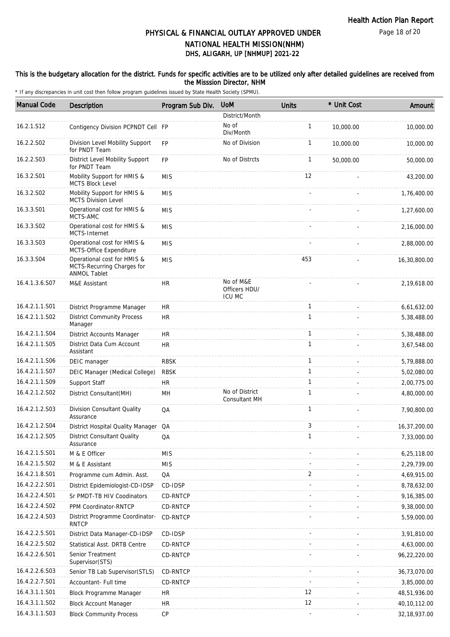### This is the budgetary allocation for the district. Funds for specific activities are to be utilized only after detailed guidelines are received from the Misssion Director, NHM

| <b>Manual Code</b> | <b>Description</b>                                                               | Program Sub Div. | <b>UoM</b>                                  | <b>Units</b> | * Unit Cost | Amount         |
|--------------------|----------------------------------------------------------------------------------|------------------|---------------------------------------------|--------------|-------------|----------------|
|                    |                                                                                  |                  | District/Month                              |              |             |                |
| 16.2.1.S12         | Contigency Division PCPNDT Cell FP                                               |                  | No of<br>Div/Month                          | $\mathbf{1}$ | 10,000.00   | 10,000.00      |
| 16.2.2.S02         | Division Level Mobility Support<br>for PNDT Team                                 | <b>FP</b>        | No of Division                              | $\mathbf{1}$ | 10,000.00   | 10,000.00      |
| 16.2.2.S03         | District Level Mobility Support<br>for PNDT Team                                 | <b>FP</b>        | No of Distrcts                              | $\mathbf{1}$ | 50,000.00   | 50,000.00      |
| 16.3.2.S01         | Mobility Support for HMIS &<br><b>MCTS Block Level</b>                           | <b>MIS</b>       |                                             | 12           |             | 43,200.00      |
| 16.3.2.S02         | Mobility Support for HMIS &<br><b>MCTS Division Level</b>                        | <b>MIS</b>       |                                             |              |             | 1,76,400.00    |
| 16.3.3.S01         | Operational cost for HMIS &<br>MCTS-AMC                                          | <b>MIS</b>       |                                             |              |             | 1,27,600.00    |
| 16.3.3.S02         | Operational cost for HMIS &<br>MCTS-Internet                                     | <b>MIS</b>       |                                             |              |             | 2,16,000.00    |
| 16.3.3.S03         | Operational cost for HMIS &<br>MCTS-Office Expenditure                           | <b>MIS</b>       |                                             |              |             | 2,88,000.00    |
| 16.3.3.S04         | Operational cost for HMIS &<br>MCTS-Recurring Charges for<br><b>ANMOL Tablet</b> | <b>MIS</b>       |                                             | 453          |             | 16,30,800.00   |
| 16.4.1.3.6.S07     | M&E Assistant                                                                    | HR               | No of M&E<br>Officers HDU/<br><b>ICU MC</b> |              |             | 2,19,618.00    |
| 16.4.2.1.1.S01     | District Programme Manager                                                       | <b>HR</b>        |                                             | $\mathbf{1}$ |             | 6,61,632.00    |
| 16.4.2.1.1.S02     | <b>District Community Process</b><br>Manager                                     | <b>HR</b>        |                                             | $\mathbf{1}$ |             | 5,38,488.00    |
| 16.4.2.1.1.S04     | District Accounts Manager                                                        | <b>HR</b>        |                                             | $\mathbf{1}$ |             | 5,38,488.00    |
| 16.4.2.1.1.S05     | District Data Cum Account<br>Assistant                                           | HR.              |                                             | $\mathbf{1}$ |             | 3,67,548.00    |
| 16.4.2.1.1.S06     | DEIC manager                                                                     | <b>RBSK</b>      |                                             | $\mathbf{1}$ |             | 5,79,888.00    |
| 16.4.2.1.1.S07     | DEIC Manager (Medical College)                                                   | <b>RBSK</b>      |                                             | $\mathbf{1}$ |             | 5,02,080.00    |
| 16.4.2.1.1.S09     | Support Staff                                                                    | <b>HR</b>        |                                             | $\mathbf{1}$ |             | 2,00,775.00    |
| 16.4.2.1.2.S02     | District Consultant(MH)                                                          | MH               | No of District<br><b>Consultant MH</b>      | $\mathbf{1}$ |             | 4,80,000.00    |
| 16.4.2.1.2.S03     | Division Consultant Quality<br>Assurance                                         | QA               |                                             | 1            |             | 7,90,800.00    |
| 16.4.2.1.2.S04     | District Hospital Quality Manager QA                                             |                  |                                             | 3            |             | 16,37,200.00   |
| 16.4.2.1.2.S05     | District Consultant Quality<br>Assurance                                         | QA               |                                             | 1            |             | 7,33,000.00    |
| 16.4.2.1.5.S01     | M & E Officer                                                                    | <b>MIS</b>       |                                             |              |             | 6,25,118.00    |
| 16.4.2.1.5.S02     | M & E Assistant                                                                  | <b>MIS</b>       |                                             |              |             | 2,29,739.00    |
| 16.4.2.1.8.S01     | Programme cum Admin. Asst.                                                       | QA               |                                             | 2            |             | 4,69,915.00    |
| 16.4.2.2.2.S01     | District Epidemiologist-CD-IDSP                                                  | CD-IDSP          |                                             |              |             | 8,78,632.00    |
| 16.4.2.2.4.S01     | Sr PMDT-TB HIV Coodinators                                                       | CD-RNTCP         |                                             |              |             | 9,16,385.00    |
| 16.4.2.2.4.S02     | PPM Coordinator-RNTCP                                                            | CD-RNTCP         |                                             |              |             | 9,38,000.00    |
| 16.4.2.2.4.S03     | District Programme Coordinator-<br><b>RNTCP</b>                                  | CD-RNTCP         |                                             |              |             | 5,59,000.00    |
| 16.4.2.2.5.S01     | District Data Manager-CD-IDSP                                                    | CD-IDSP          |                                             |              |             | 3,91,810.00    |
| 16.4.2.2.5.S02     | Statistical Asst. DRTB Centre                                                    | CD-RNTCP         |                                             |              |             | 4,63,000.00    |
| 16.4.2.2.6.S01     | Senior Treatment<br>Supervisor (STS)                                             | CD-RNTCP         |                                             |              |             | 96,22,220.00   |
| 16.4.2.2.6.S03     | Senior TB Lab Supervisor(STLS)                                                   | CD-RNTCP         |                                             |              |             | 36,73,070.00   |
| 16.4.2.2.7.S01     | Accountant- Full time                                                            | CD-RNTCP         |                                             |              |             | 3,85,000.00    |
| 16.4.3.1.1.S01     | Block Programme Manager                                                          | <b>HR</b>        |                                             | 12           |             | 48,51,936.00   |
| 16.4.3.1.1.S02     | <b>Block Account Manager</b>                                                     | HR               |                                             | 12           |             | 40,10,112.00   |
| 16.4.3.1.1.S03     | <b>Block Community Process</b>                                                   | CP               |                                             |              |             | 32, 18, 937.00 |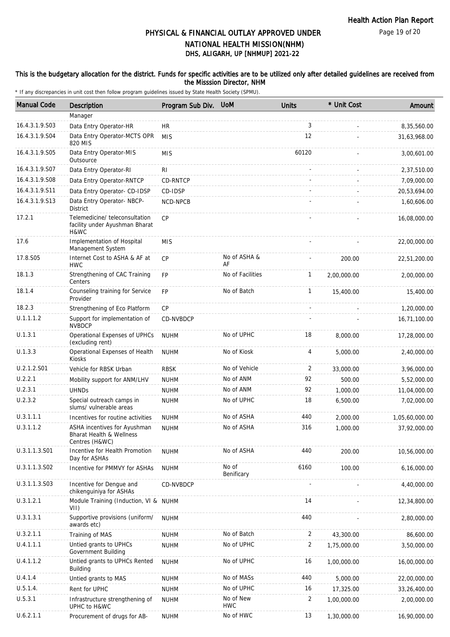#### This is the budgetary allocation for the district. Funds for specific activities are to be utilized only after detailed guidelines are received from the Misssion Director, NHM

| <b>Manual Code</b> | <b>Description</b>                                                         | Program Sub Div. | <b>UoM</b>              | <b>Units</b>   | * Unit Cost | Amount         |
|--------------------|----------------------------------------------------------------------------|------------------|-------------------------|----------------|-------------|----------------|
|                    | Manager                                                                    |                  |                         |                |             |                |
| 16.4.3.1.9.S03     | Data Entry Operator-HR                                                     | <b>HR</b>        |                         | 3              |             | 8,35,560.00    |
| 16.4.3.1.9.S04     | Data Entry Operator-MCTS OPR<br>820 MIS                                    | <b>MIS</b>       |                         | 12             |             | 31,63,968.00   |
| 16.4.3.1.9.S05     | Data Entry Operator-MIS<br>Outsource                                       | <b>MIS</b>       |                         | 60120          |             | 3,00,601.00    |
| 16.4.3.1.9.S07     | Data Entry Operator-RI                                                     | R <sub>1</sub>   |                         |                |             | 2,37,510.00    |
| 16.4.3.1.9.S08     | Data Entry Operator-RNTCP                                                  | CD-RNTCP         |                         |                |             | 7,09,000.00    |
| 16.4.3.1.9.S11     | Data Entry Operator- CD-IDSP                                               | CD-IDSP          |                         |                |             | 20,53,694.00   |
| 16.4.3.1.9.S13     | Data Entry Operator- NBCP-<br><b>District</b>                              | NCD-NPCB         |                         |                |             | 1,60,606.00    |
| 17.2.1             | Telemedicine/teleconsultation<br>facility under Ayushman Bharat<br>H&WC    | CP               |                         |                |             | 16,08,000.00   |
| 17.6               | Implementation of Hospital<br>Management System                            | <b>MIS</b>       |                         |                |             | 22,00,000.00   |
| 17.8.S05           | Internet Cost to ASHA & AF at<br><b>HWC</b>                                | <b>CP</b>        | No of ASHA &<br>AF      |                | 200.00      | 22,51,200.00   |
| 18.1.3             | Strengthening of CAC Training<br>Centers                                   | <b>FP</b>        | No of Facilities        | $\mathbf{1}$   | 2,00,000.00 | 2,00,000.00    |
| 18.1.4             | Counseling training for Service<br>Provider                                | <b>FP</b>        | No of Batch             | $\mathbf{1}$   | 15,400.00   | 15,400.00      |
| 18.2.3             | Strengthening of Eco Platform                                              | СP               |                         |                |             | 1,20,000.00    |
| U.1.1.1.2          | Support for implementation of<br><b>NVBDCP</b>                             | CD-NVBDCP        |                         |                |             | 16,71,100.00   |
| U.1.3.1            | Operational Expenses of UPHCs<br>(excluding rent)                          | <b>NUHM</b>      | No of UPHC              | 18             | 8,000.00    | 17,28,000.00   |
| U.1.3.3            | Operational Expenses of Health<br>Kiosks                                   | <b>NUHM</b>      | No of Kiosk             | $\overline{4}$ | 5,000.00    | 2,40,000.00    |
| U.2.1.2.S01        | Vehicle for RBSK Urban                                                     | <b>RBSK</b>      | No of Vehicle           | 2              | 33,000.00   | 3,96,000.00    |
| U.2.2.1            | Mobility support for ANM/LHV                                               | <b>NUHM</b>      | No of ANM               | 92             | 500.00      | 5,52,000.00    |
| U.2.3.1            | <b>UHND<sub>S</sub></b>                                                    | <b>NUHM</b>      | No of ANM               | 92             | 1,000.00    | 11,04,000.00   |
| U.2.3.2            | Special outreach camps in<br>slums/ vulnerable areas                       | <b>NUHM</b>      | No of UPHC              | 18             | 6,500.00    | 7,02,000.00    |
| U.3.1.1.1          | Incentives for routine activities                                          | <b>NUHM</b>      | No of ASHA              | 440            | 2,000.00    | 1,05,60,000.00 |
| U.3.1.1.2          | ASHA incentives for Ayushman<br>Bharat Health & Wellness<br>Centres (H&WC) | <b>NUHM</b>      | No of ASHA              | 316            | 1,000.00    | 37,92,000.00   |
| U.3.1.1.3.S01      | Incentive for Health Promotion<br>Day for ASHAs                            | <b>NUHM</b>      | No of ASHA              | 440            | 200.00      | 10,56,000.00   |
| U.3.1.1.3.S02      | Incentive for PMMVY for ASHAs                                              | <b>NUHM</b>      | No of<br>Benificary     | 6160           | 100.00      | 6,16,000.00    |
| U.3.1.1.3.S03      | Incentive for Dengue and<br>chikenguiniya for ASHAs                        | CD-NVBDCP        |                         |                |             | 4,40,000.00    |
| U.3.1.2.1          | Module Training (Induction, VI & NUHM<br>VII)                              |                  |                         | 14             |             | 12,34,800.00   |
| U.3.1.3.1          | Supportive provisions (uniform/<br>awards etc)                             | <b>NUHM</b>      |                         | 440            |             | 2,80,000.00    |
| U.3.2.1.1          | Training of MAS                                                            | <b>NUHM</b>      | No of Batch             | 2              | 43,300.00   | 86,600.00      |
| U.4.1.1.1          | Untied grants to UPHCs<br>Government Building                              | <b>NUHM</b>      | No of UPHC              | 2              | 1,75,000.00 | 3,50,000.00    |
| U.4.1.1.2          | Untied grants to UPHCs Rented<br>Building                                  | <b>NUHM</b>      | No of UPHC              | 16             | 1,00,000.00 | 16,00,000.00   |
| U.4.1.4            | Untied grants to MAS                                                       | <b>NUHM</b>      | No of MASs              | 440            | 5,000.00    | 22,00,000.00   |
| U.5.1.4.           | Rent for UPHC                                                              | <b>NUHM</b>      | No of UPHC              | 16             | 17,325.00   | 33,26,400.00   |
| U.5.3.1            | Infrastructure strengthening of<br>UPHC to H&WC                            | <b>NUHM</b>      | No of New<br><b>HWC</b> | 2              | 1,00,000.00 | 2,00,000.00    |
| U.6.2.1.1          | Procurement of drugs for AB-                                               | <b>NUHM</b>      | No of HWC               | 13             | 1,30,000.00 | 16,90,000.00   |